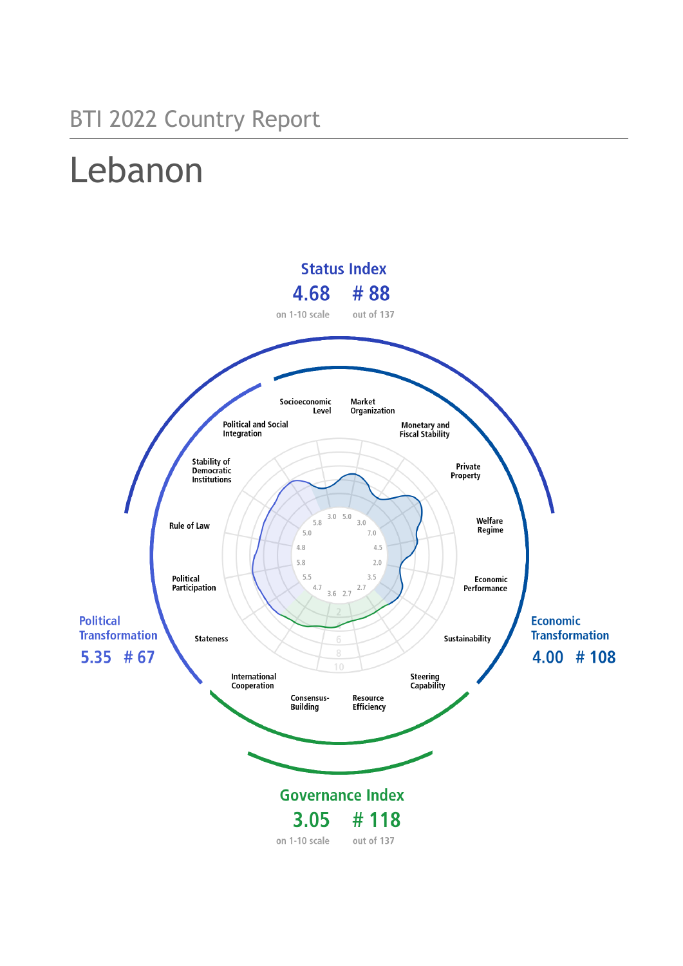## BTI 2022 Country Report

# Lebanon

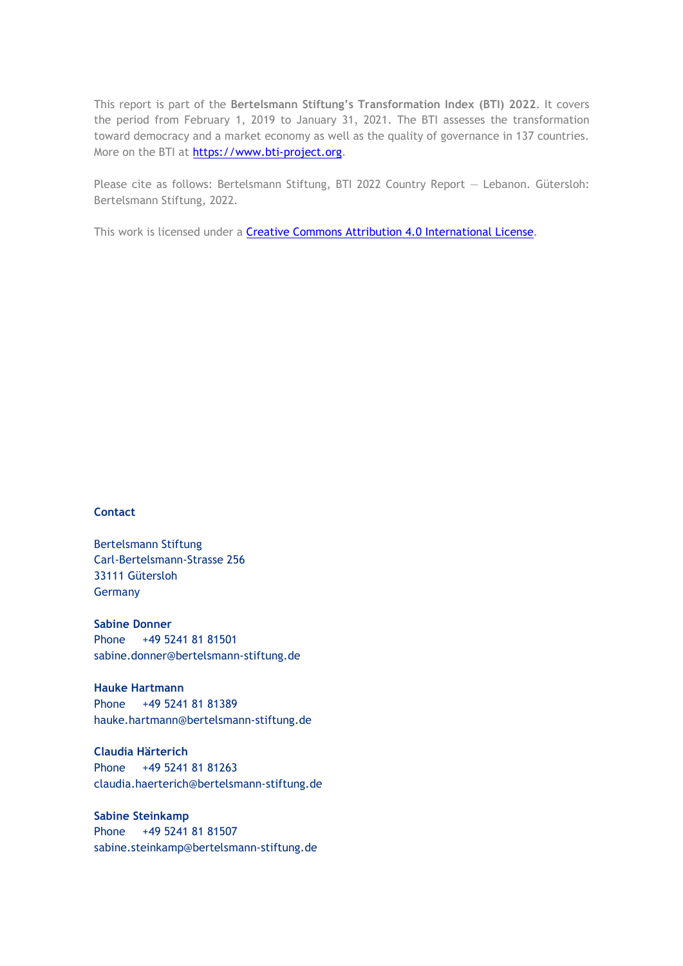This report is part of the **Bertelsmann Stiftung's Transformation Index (BTI) 2022**. It covers the period from February 1, 2019 to January 31, 2021. The BTI assesses the transformation toward democracy and a market economy as well as the quality of governance in 137 countries. More on the BTI at [https://www.bti-project.org.](https://www.bti-project.org/)

Please cite as follows: Bertelsmann Stiftung, BTI 2022 Country Report — Lebanon. Gütersloh: Bertelsmann Stiftung, 2022.

This work is licensed under a **Creative Commons Attribution 4.0 International License**.

## **Contact**

Bertelsmann Stiftung Carl-Bertelsmann-Strasse 256 33111 Gütersloh Germany

**Sabine Donner** Phone +49 5241 81 81501 sabine.donner@bertelsmann-stiftung.de

**Hauke Hartmann** Phone +49 5241 81 81389 hauke.hartmann@bertelsmann-stiftung.de

**Claudia Härterich** Phone +49 5241 81 81263 claudia.haerterich@bertelsmann-stiftung.de

## **Sabine Steinkamp** Phone +49 5241 81 81507 sabine.steinkamp@bertelsmann-stiftung.de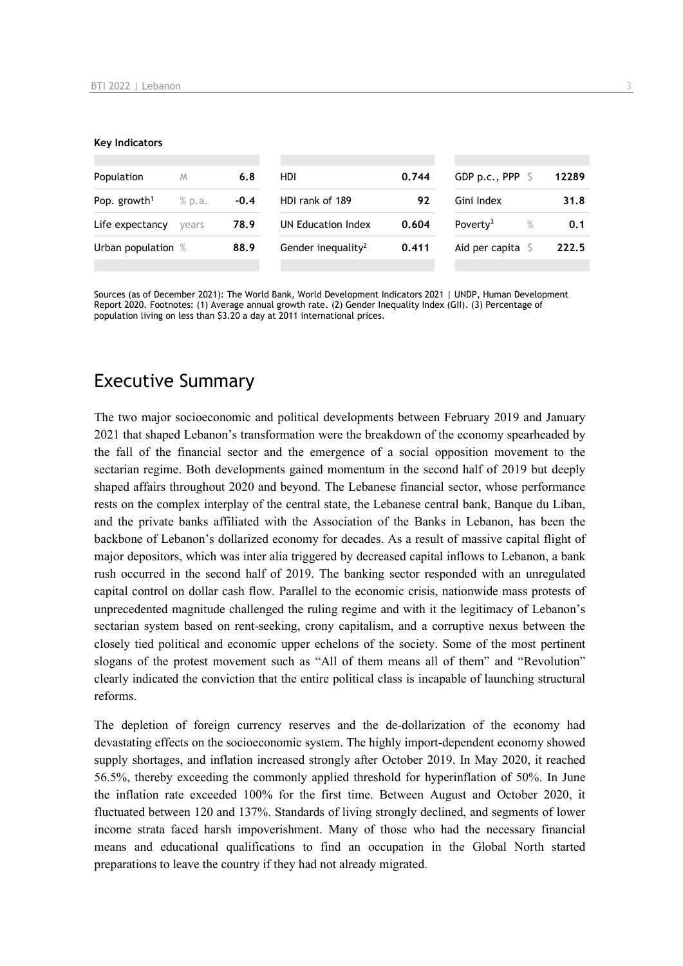#### **Key Indicators**

| Population                         | M     | 6.8    | HDI                            | 0.744 | GDP p.c., PPP 9              | 12289 |
|------------------------------------|-------|--------|--------------------------------|-------|------------------------------|-------|
| Pop. growth <sup>1</sup><br>% p.a. |       | $-0.4$ | HDI rank of 189<br>92          |       | Gini Index                   | 31.8  |
| Life expectancy                    | vears | 78.9   | UN Education Index             | 0.604 | Poverty <sup>3</sup><br>$\%$ | 0.1   |
| Urban population %                 |       | 88.9   | Gender inequality <sup>2</sup> | 0.411 | Aid per capita               | 222.5 |
|                                    |       |        |                                |       |                              |       |

Sources (as of December 2021): The World Bank, World Development Indicators 2021 | UNDP, Human Development Report 2020. Footnotes: (1) Average annual growth rate. (2) Gender Inequality Index (GII). (3) Percentage of population living on less than \$3.20 a day at 2011 international prices.

## Executive Summary

The two major socioeconomic and political developments between February 2019 and January 2021 that shaped Lebanon's transformation were the breakdown of the economy spearheaded by the fall of the financial sector and the emergence of a social opposition movement to the sectarian regime. Both developments gained momentum in the second half of 2019 but deeply shaped affairs throughout 2020 and beyond. The Lebanese financial sector, whose performance rests on the complex interplay of the central state, the Lebanese central bank, Banque du Liban, and the private banks affiliated with the Association of the Banks in Lebanon, has been the backbone of Lebanon's dollarized economy for decades. As a result of massive capital flight of major depositors, which was inter alia triggered by decreased capital inflows to Lebanon, a bank rush occurred in the second half of 2019. The banking sector responded with an unregulated capital control on dollar cash flow. Parallel to the economic crisis, nationwide mass protests of unprecedented magnitude challenged the ruling regime and with it the legitimacy of Lebanon's sectarian system based on rent-seeking, crony capitalism, and a corruptive nexus between the closely tied political and economic upper echelons of the society. Some of the most pertinent slogans of the protest movement such as "All of them means all of them" and "Revolution" clearly indicated the conviction that the entire political class is incapable of launching structural reforms.

The depletion of foreign currency reserves and the de-dollarization of the economy had devastating effects on the socioeconomic system. The highly import-dependent economy showed supply shortages, and inflation increased strongly after October 2019. In May 2020, it reached 56.5%, thereby exceeding the commonly applied threshold for hyperinflation of 50%. In June the inflation rate exceeded 100% for the first time. Between August and October 2020, it fluctuated between 120 and 137%. Standards of living strongly declined, and segments of lower income strata faced harsh impoverishment. Many of those who had the necessary financial means and educational qualifications to find an occupation in the Global North started preparations to leave the country if they had not already migrated.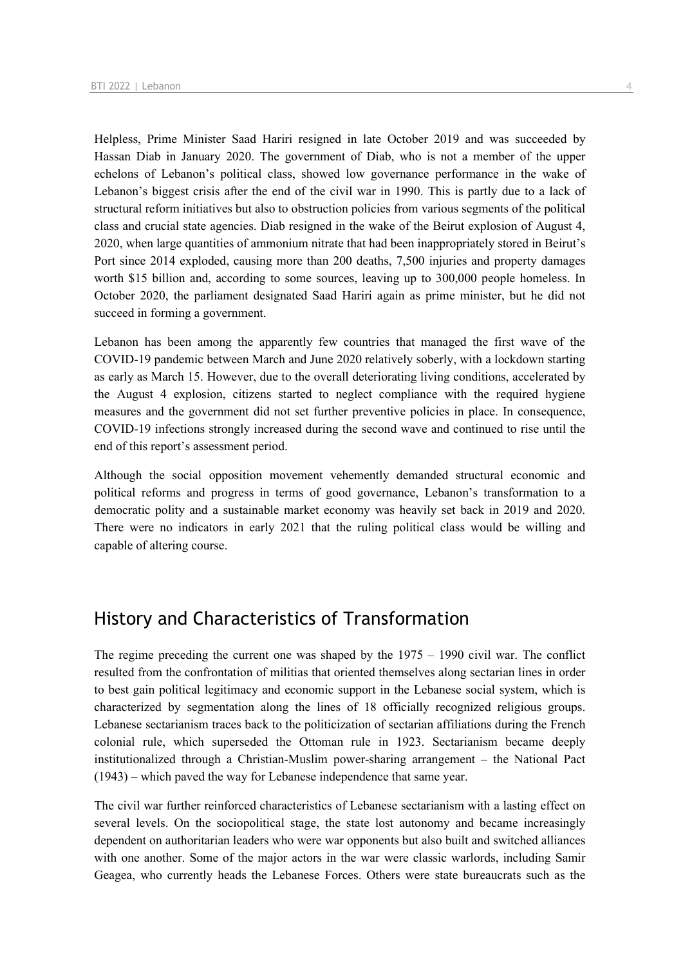Helpless, Prime Minister Saad Hariri resigned in late October 2019 and was succeeded by Hassan Diab in January 2020. The government of Diab, who is not a member of the upper echelons of Lebanon's political class, showed low governance performance in the wake of Lebanon's biggest crisis after the end of the civil war in 1990. This is partly due to a lack of structural reform initiatives but also to obstruction policies from various segments of the political class and crucial state agencies. Diab resigned in the wake of the Beirut explosion of August 4, 2020, when large quantities of ammonium nitrate that had been inappropriately stored in Beirut's Port since 2014 exploded, causing more than 200 deaths, 7,500 injuries and property damages worth \$15 billion and, according to some sources, leaving up to 300,000 people homeless. In October 2020, the parliament designated Saad Hariri again as prime minister, but he did not succeed in forming a government.

Lebanon has been among the apparently few countries that managed the first wave of the COVID-19 pandemic between March and June 2020 relatively soberly, with a lockdown starting as early as March 15. However, due to the overall deteriorating living conditions, accelerated by the August 4 explosion, citizens started to neglect compliance with the required hygiene measures and the government did not set further preventive policies in place. In consequence, COVID-19 infections strongly increased during the second wave and continued to rise until the end of this report's assessment period.

Although the social opposition movement vehemently demanded structural economic and political reforms and progress in terms of good governance, Lebanon's transformation to a democratic polity and a sustainable market economy was heavily set back in 2019 and 2020. There were no indicators in early 2021 that the ruling political class would be willing and capable of altering course.

## History and Characteristics of Transformation

The regime preceding the current one was shaped by the 1975 – 1990 civil war. The conflict resulted from the confrontation of militias that oriented themselves along sectarian lines in order to best gain political legitimacy and economic support in the Lebanese social system, which is characterized by segmentation along the lines of 18 officially recognized religious groups. Lebanese sectarianism traces back to the politicization of sectarian affiliations during the French colonial rule, which superseded the Ottoman rule in 1923. Sectarianism became deeply institutionalized through a Christian-Muslim power-sharing arrangement – the National Pact (1943) – which paved the way for Lebanese independence that same year.

The civil war further reinforced characteristics of Lebanese sectarianism with a lasting effect on several levels. On the sociopolitical stage, the state lost autonomy and became increasingly dependent on authoritarian leaders who were war opponents but also built and switched alliances with one another. Some of the major actors in the war were classic warlords, including Samir Geagea, who currently heads the Lebanese Forces. Others were state bureaucrats such as the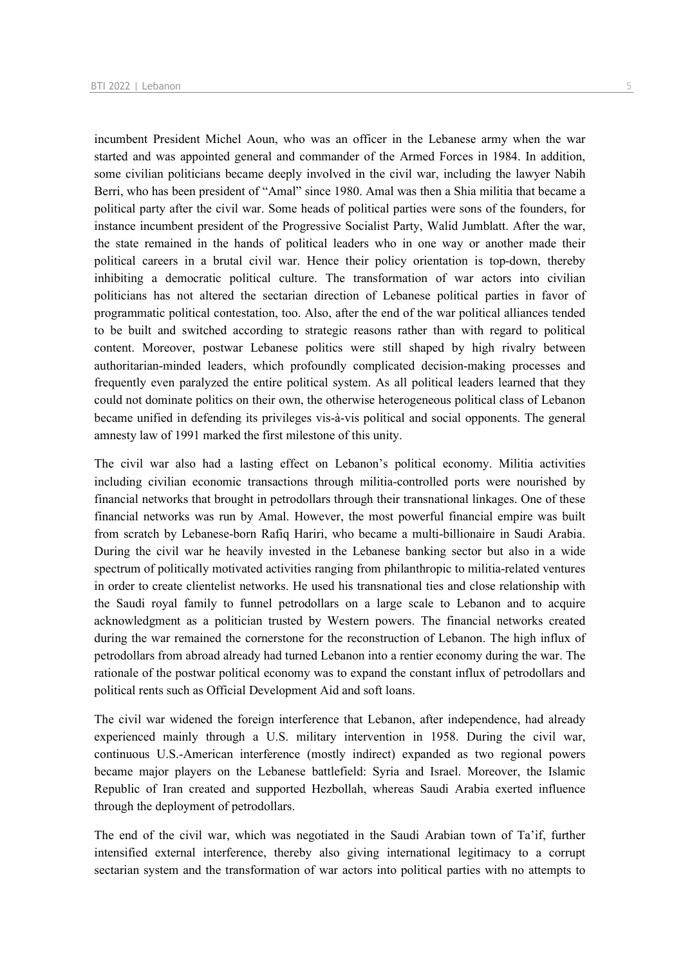incumbent President Michel Aoun, who was an officer in the Lebanese army when the war started and was appointed general and commander of the Armed Forces in 1984. In addition, some civilian politicians became deeply involved in the civil war, including the lawyer Nabih Berri, who has been president of "Amal" since 1980. Amal was then a Shia militia that became a political party after the civil war. Some heads of political parties were sons of the founders, for instance incumbent president of the Progressive Socialist Party, Walid Jumblatt. After the war, the state remained in the hands of political leaders who in one way or another made their political careers in a brutal civil war. Hence their policy orientation is top-down, thereby inhibiting a democratic political culture. The transformation of war actors into civilian politicians has not altered the sectarian direction of Lebanese political parties in favor of programmatic political contestation, too. Also, after the end of the war political alliances tended to be built and switched according to strategic reasons rather than with regard to political content. Moreover, postwar Lebanese politics were still shaped by high rivalry between authoritarian-minded leaders, which profoundly complicated decision-making processes and frequently even paralyzed the entire political system. As all political leaders learned that they could not dominate politics on their own, the otherwise heterogeneous political class of Lebanon became unified in defending its privileges vis-à-vis political and social opponents. The general amnesty law of 1991 marked the first milestone of this unity.

The civil war also had a lasting effect on Lebanon's political economy. Militia activities including civilian economic transactions through militia-controlled ports were nourished by financial networks that brought in petrodollars through their transnational linkages. One of these financial networks was run by Amal. However, the most powerful financial empire was built from scratch by Lebanese-born Rafiq Hariri, who became a multi-billionaire in Saudi Arabia. During the civil war he heavily invested in the Lebanese banking sector but also in a wide spectrum of politically motivated activities ranging from philanthropic to militia-related ventures in order to create clientelist networks. He used his transnational ties and close relationship with the Saudi royal family to funnel petrodollars on a large scale to Lebanon and to acquire acknowledgment as a politician trusted by Western powers. The financial networks created during the war remained the cornerstone for the reconstruction of Lebanon. The high influx of petrodollars from abroad already had turned Lebanon into a rentier economy during the war. The rationale of the postwar political economy was to expand the constant influx of petrodollars and political rents such as Official Development Aid and soft loans.

The civil war widened the foreign interference that Lebanon, after independence, had already experienced mainly through a U.S. military intervention in 1958. During the civil war, continuous U.S.-American interference (mostly indirect) expanded as two regional powers became major players on the Lebanese battlefield: Syria and Israel. Moreover, the Islamic Republic of Iran created and supported Hezbollah, whereas Saudi Arabia exerted influence through the deployment of petrodollars.

The end of the civil war, which was negotiated in the Saudi Arabian town of Ta'if, further intensified external interference, thereby also giving international legitimacy to a corrupt sectarian system and the transformation of war actors into political parties with no attempts to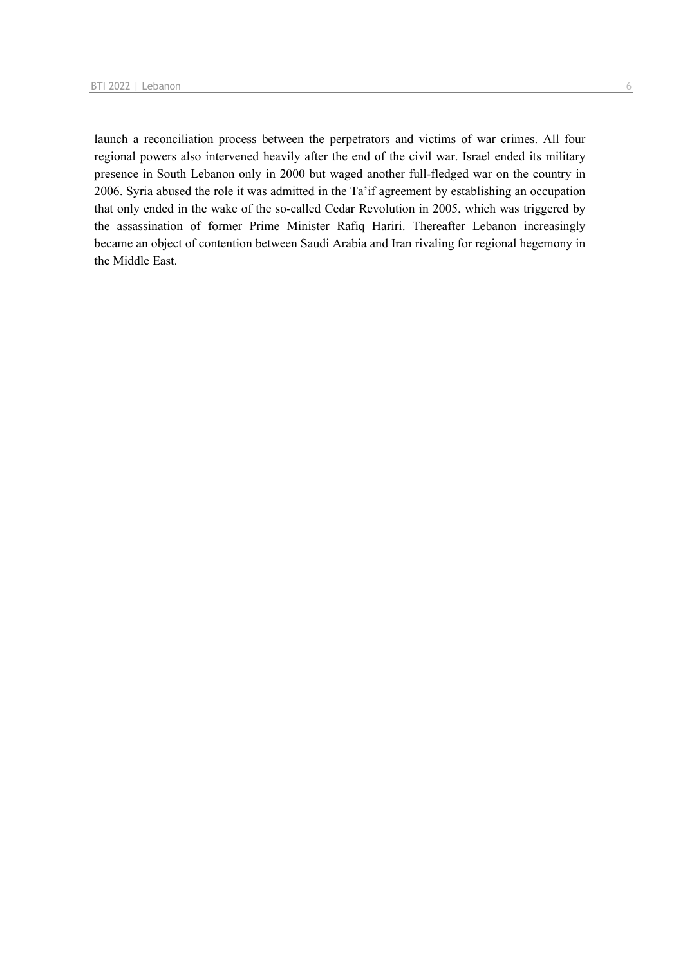launch a reconciliation process between the perpetrators and victims of war crimes. All four regional powers also intervened heavily after the end of the civil war. Israel ended its military presence in South Lebanon only in 2000 but waged another full-fledged war on the country in 2006. Syria abused the role it was admitted in the Ta'if agreement by establishing an occupation that only ended in the wake of the so-called Cedar Revolution in 2005, which was triggered by the assassination of former Prime Minister Rafiq Hariri. Thereafter Lebanon increasingly became an object of contention between Saudi Arabia and Iran rivaling for regional hegemony in the Middle East.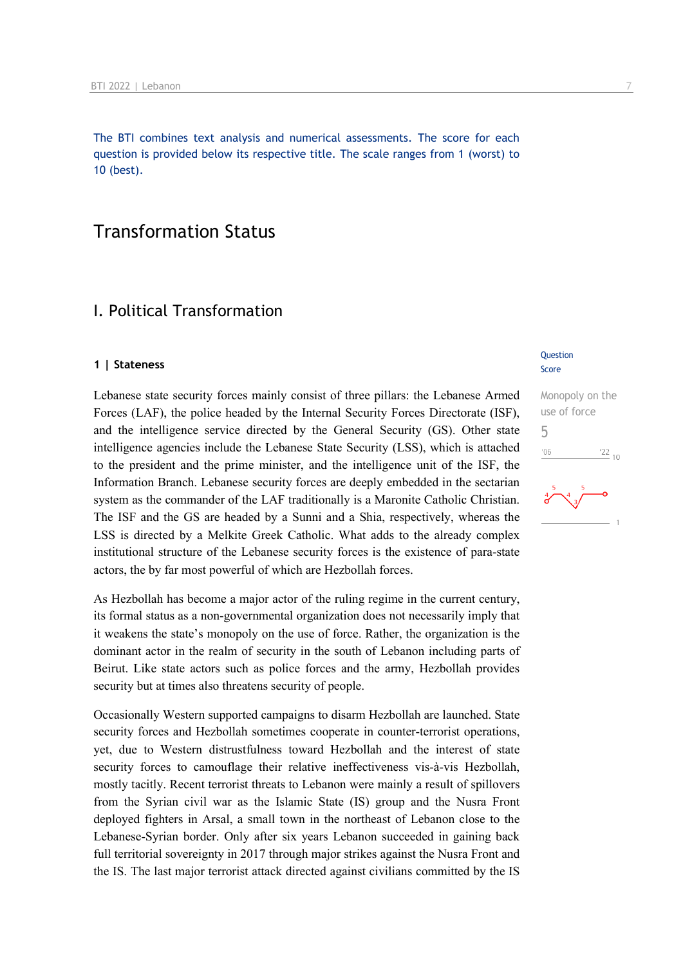The BTI combines text analysis and numerical assessments. The score for each question is provided below its respective title. The scale ranges from 1 (worst) to 10 (best).

## Transformation Status

## I. Political Transformation

#### **1 | Stateness**

Lebanese state security forces mainly consist of three pillars: the Lebanese Armed Forces (LAF), the police headed by the Internal Security Forces Directorate (ISF), and the intelligence service directed by the General Security (GS). Other state intelligence agencies include the Lebanese State Security (LSS), which is attached to the president and the prime minister, and the intelligence unit of the ISF, the Information Branch. Lebanese security forces are deeply embedded in the sectarian system as the commander of the LAF traditionally is a Maronite Catholic Christian. The ISF and the GS are headed by a Sunni and a Shia, respectively, whereas the LSS is directed by a Melkite Greek Catholic. What adds to the already complex institutional structure of the Lebanese security forces is the existence of para-state actors, the by far most powerful of which are Hezbollah forces.

As Hezbollah has become a major actor of the ruling regime in the current century, its formal status as a non-governmental organization does not necessarily imply that it weakens the state's monopoly on the use of force. Rather, the organization is the dominant actor in the realm of security in the south of Lebanon including parts of Beirut. Like state actors such as police forces and the army, Hezbollah provides security but at times also threatens security of people.

Occasionally Western supported campaigns to disarm Hezbollah are launched. State security forces and Hezbollah sometimes cooperate in counter-terrorist operations, yet, due to Western distrustfulness toward Hezbollah and the interest of state security forces to camouflage their relative ineffectiveness vis-à-vis Hezbollah, mostly tacitly. Recent terrorist threats to Lebanon were mainly a result of spillovers from the Syrian civil war as the Islamic State (IS) group and the Nusra Front deployed fighters in Arsal, a small town in the northeast of Lebanon close to the Lebanese-Syrian border. Only after six years Lebanon succeeded in gaining back full territorial sovereignty in 2017 through major strikes against the Nusra Front and the IS. The last major terrorist attack directed against civilians committed by the IS

#### **Question** Score

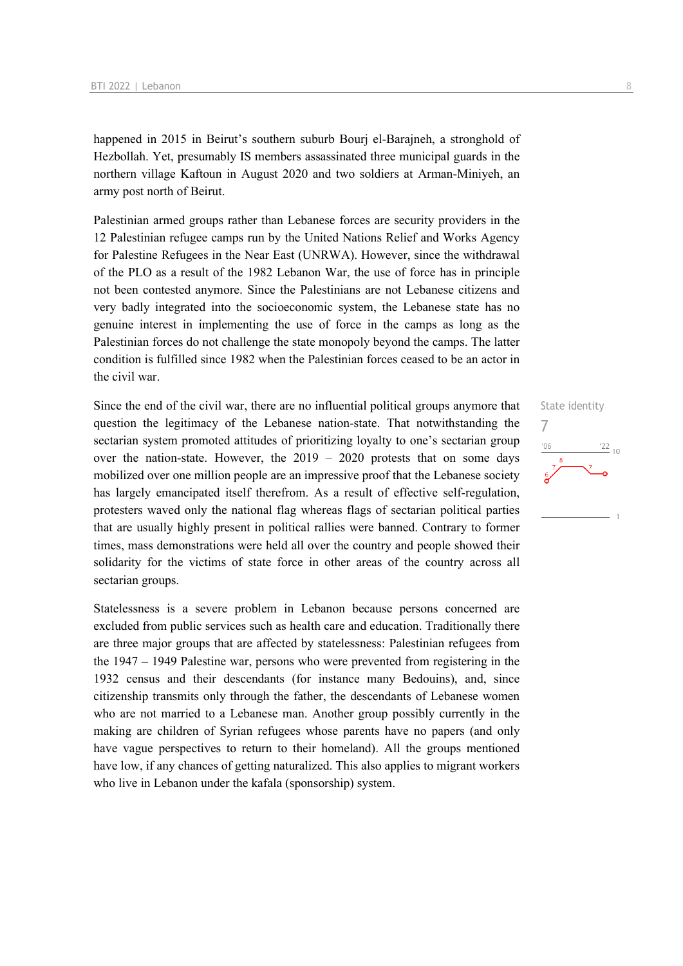happened in 2015 in Beirut's southern suburb Bourj el-Barajneh, a stronghold of Hezbollah. Yet, presumably IS members assassinated three municipal guards in the northern village Kaftoun in August 2020 and two soldiers at Arman-Miniyeh, an army post north of Beirut.

Palestinian armed groups rather than Lebanese forces are security providers in the 12 Palestinian refugee camps run by the United Nations Relief and Works Agency for Palestine Refugees in the Near East (UNRWA). However, since the withdrawal of the PLO as a result of the 1982 Lebanon War, the use of force has in principle not been contested anymore. Since the Palestinians are not Lebanese citizens and very badly integrated into the socioeconomic system, the Lebanese state has no genuine interest in implementing the use of force in the camps as long as the Palestinian forces do not challenge the state monopoly beyond the camps. The latter condition is fulfilled since 1982 when the Palestinian forces ceased to be an actor in the civil war.

Since the end of the civil war, there are no influential political groups anymore that question the legitimacy of the Lebanese nation-state. That notwithstanding the sectarian system promoted attitudes of prioritizing loyalty to one's sectarian group over the nation-state. However, the 2019 – 2020 protests that on some days mobilized over one million people are an impressive proof that the Lebanese society has largely emancipated itself therefrom. As a result of effective self-regulation, protesters waved only the national flag whereas flags of sectarian political parties that are usually highly present in political rallies were banned. Contrary to former times, mass demonstrations were held all over the country and people showed their solidarity for the victims of state force in other areas of the country across all sectarian groups.

Statelessness is a severe problem in Lebanon because persons concerned are excluded from public services such as health care and education. Traditionally there are three major groups that are affected by statelessness: Palestinian refugees from the 1947 – 1949 Palestine war, persons who were prevented from registering in the 1932 census and their descendants (for instance many Bedouins), and, since citizenship transmits only through the father, the descendants of Lebanese women who are not married to a Lebanese man. Another group possibly currently in the making are children of Syrian refugees whose parents have no papers (and only have vague perspectives to return to their homeland). All the groups mentioned have low, if any chances of getting naturalized. This also applies to migrant workers who live in Lebanon under the kafala (sponsorship) system.

State identity 7 $\frac{22}{10}$  $-06$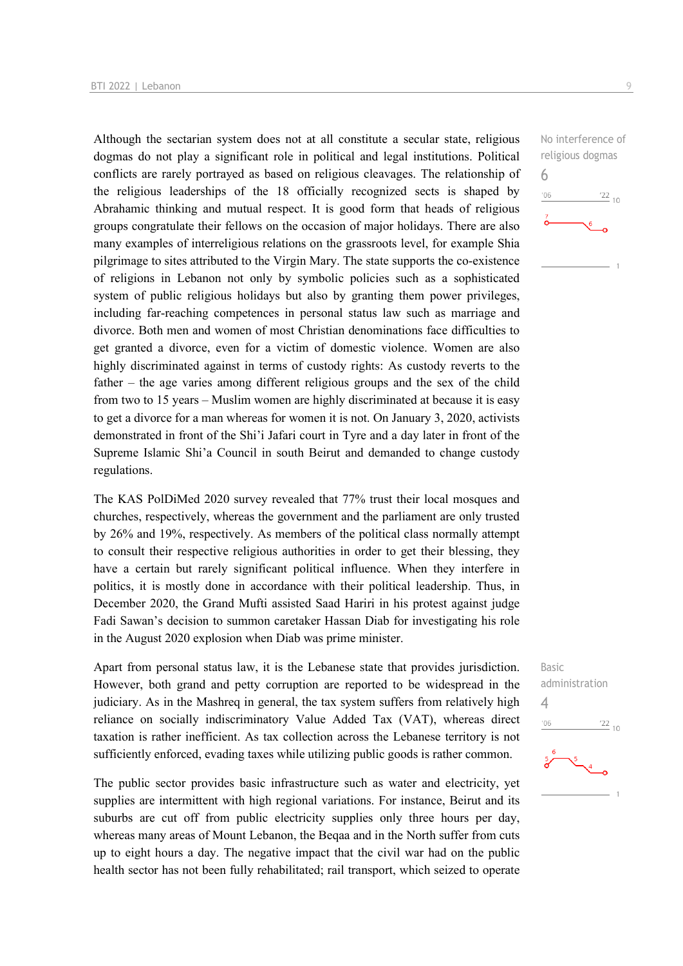Although the sectarian system does not at all constitute a secular state, religious dogmas do not play a significant role in political and legal institutions. Political conflicts are rarely portrayed as based on religious cleavages. The relationship of the religious leaderships of the 18 officially recognized sects is shaped by Abrahamic thinking and mutual respect. It is good form that heads of religious groups congratulate their fellows on the occasion of major holidays. There are also many examples of interreligious relations on the grassroots level, for example Shia pilgrimage to sites attributed to the Virgin Mary. The state supports the co-existence of religions in Lebanon not only by symbolic policies such as a sophisticated system of public religious holidays but also by granting them power privileges, including far-reaching competences in personal status law such as marriage and divorce. Both men and women of most Christian denominations face difficulties to get granted a divorce, even for a victim of domestic violence. Women are also highly discriminated against in terms of custody rights: As custody reverts to the father – the age varies among different religious groups and the sex of the child from two to 15 years – Muslim women are highly discriminated at because it is easy to get a divorce for a man whereas for women it is not. On January 3, 2020, activists demonstrated in front of the Shi'i Jafari court in Tyre and a day later in front of the Supreme Islamic Shi'a Council in south Beirut and demanded to change custody regulations.

The KAS PolDiMed 2020 survey revealed that 77% trust their local mosques and churches, respectively, whereas the government and the parliament are only trusted by 26% and 19%, respectively. As members of the political class normally attempt to consult their respective religious authorities in order to get their blessing, they have a certain but rarely significant political influence. When they interfere in politics, it is mostly done in accordance with their political leadership. Thus, in December 2020, the Grand Mufti assisted Saad Hariri in his protest against judge Fadi Sawan's decision to summon caretaker Hassan Diab for investigating his role in the August 2020 explosion when Diab was prime minister.

Apart from personal status law, it is the Lebanese state that provides jurisdiction. However, both grand and petty corruption are reported to be widespread in the judiciary. As in the Mashreq in general, the tax system suffers from relatively high reliance on socially indiscriminatory Value Added Tax (VAT), whereas direct taxation is rather inefficient. As tax collection across the Lebanese territory is not sufficiently enforced, evading taxes while utilizing public goods is rather common.

The public sector provides basic infrastructure such as water and electricity, yet supplies are intermittent with high regional variations. For instance, Beirut and its suburbs are cut off from public electricity supplies only three hours per day, whereas many areas of Mount Lebanon, the Beqaa and in the North suffer from cuts up to eight hours a day. The negative impact that the civil war had on the public health sector has not been fully rehabilitated; rail transport, which seized to operate

No interference of religious dogmas 6  $-06$  $\frac{22}{10}$ 

Basic administration  $\Delta$  $\frac{22}{10}$  $-06$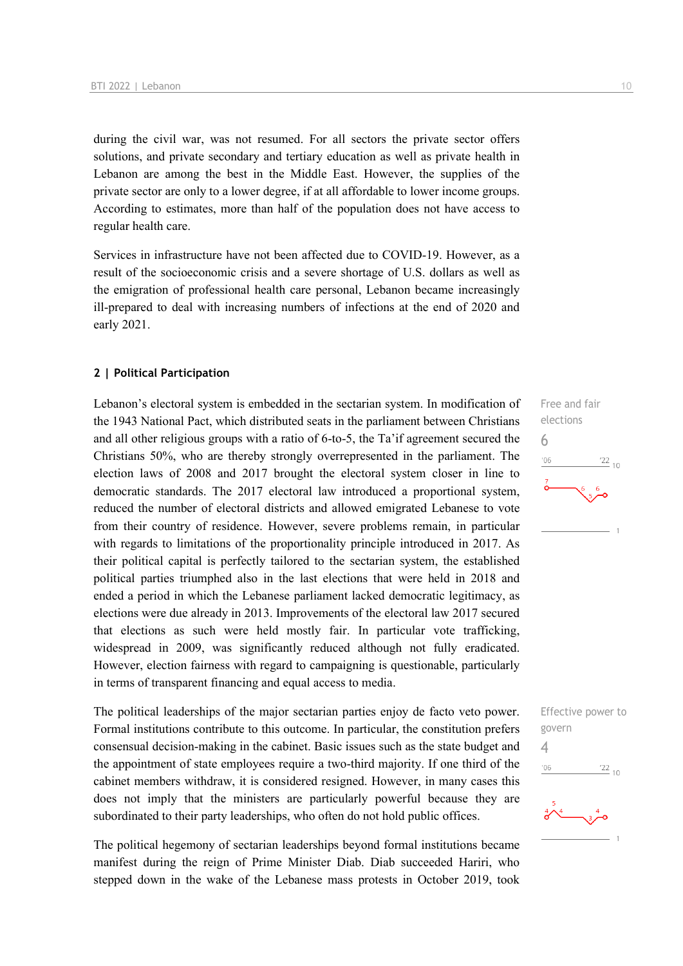during the civil war, was not resumed. For all sectors the private sector offers solutions, and private secondary and tertiary education as well as private health in Lebanon are among the best in the Middle East. However, the supplies of the private sector are only to a lower degree, if at all affordable to lower income groups. According to estimates, more than half of the population does not have access to regular health care.

Services in infrastructure have not been affected due to COVID-19. However, as a result of the socioeconomic crisis and a severe shortage of U.S. dollars as well as the emigration of professional health care personal, Lebanon became increasingly ill-prepared to deal with increasing numbers of infections at the end of 2020 and early 2021.

## **2 | Political Participation**

Lebanon's electoral system is embedded in the sectarian system. In modification of the 1943 National Pact, which distributed seats in the parliament between Christians and all other religious groups with a ratio of 6-to-5, the Ta'if agreement secured the Christians 50%, who are thereby strongly overrepresented in the parliament. The election laws of 2008 and 2017 brought the electoral system closer in line to democratic standards. The 2017 electoral law introduced a proportional system, reduced the number of electoral districts and allowed emigrated Lebanese to vote from their country of residence. However, severe problems remain, in particular with regards to limitations of the proportionality principle introduced in 2017. As their political capital is perfectly tailored to the sectarian system, the established political parties triumphed also in the last elections that were held in 2018 and ended a period in which the Lebanese parliament lacked democratic legitimacy, as elections were due already in 2013. Improvements of the electoral law 2017 secured that elections as such were held mostly fair. In particular vote trafficking, widespread in 2009, was significantly reduced although not fully eradicated. However, election fairness with regard to campaigning is questionable, particularly in terms of transparent financing and equal access to media.

The political leaderships of the major sectarian parties enjoy de facto veto power. Formal institutions contribute to this outcome. In particular, the constitution prefers consensual decision-making in the cabinet. Basic issues such as the state budget and the appointment of state employees require a two-third majority. If one third of the cabinet members withdraw, it is considered resigned. However, in many cases this does not imply that the ministers are particularly powerful because they are subordinated to their party leaderships, who often do not hold public offices.

The political hegemony of sectarian leaderships beyond formal institutions became manifest during the reign of Prime Minister Diab. Diab succeeded Hariri, who stepped down in the wake of the Lebanese mass protests in October 2019, took Free and fair elections 6  $106$  $\frac{22}{10}$ 

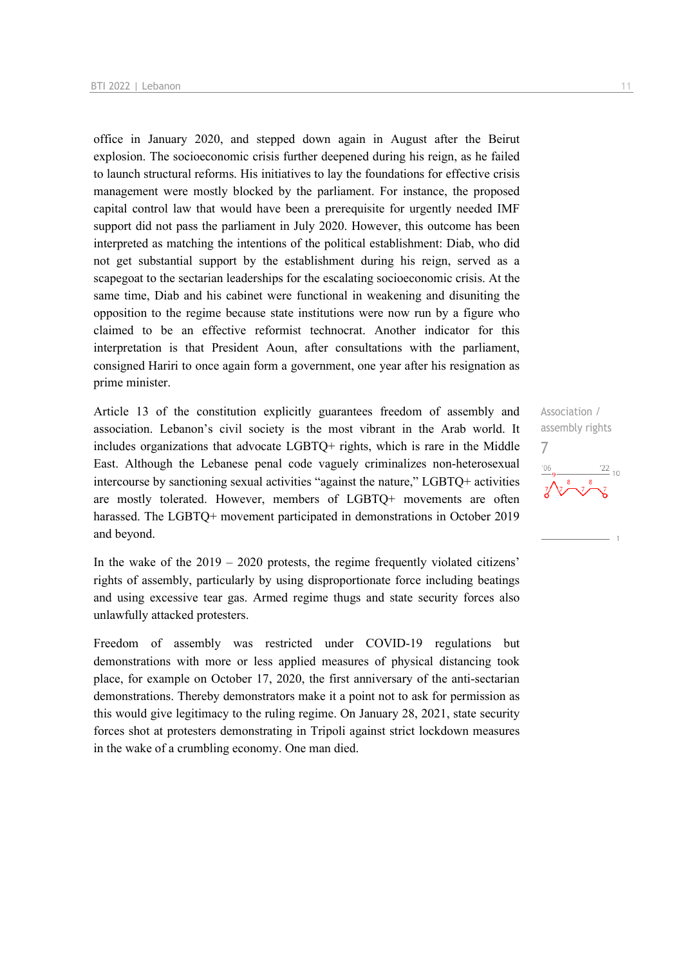office in January 2020, and stepped down again in August after the Beirut explosion. The socioeconomic crisis further deepened during his reign, as he failed to launch structural reforms. His initiatives to lay the foundations for effective crisis management were mostly blocked by the parliament. For instance, the proposed capital control law that would have been a prerequisite for urgently needed IMF support did not pass the parliament in July 2020. However, this outcome has been interpreted as matching the intentions of the political establishment: Diab, who did not get substantial support by the establishment during his reign, served as a scapegoat to the sectarian leaderships for the escalating socioeconomic crisis. At the same time, Diab and his cabinet were functional in weakening and disuniting the opposition to the regime because state institutions were now run by a figure who claimed to be an effective reformist technocrat. Another indicator for this interpretation is that President Aoun, after consultations with the parliament, consigned Hariri to once again form a government, one year after his resignation as prime minister.

Article 13 of the constitution explicitly guarantees freedom of assembly and association. Lebanon's civil society is the most vibrant in the Arab world. It includes organizations that advocate LGBTQ+ rights, which is rare in the Middle East. Although the Lebanese penal code vaguely criminalizes non-heterosexual intercourse by sanctioning sexual activities "against the nature," LGBTQ+ activities are mostly tolerated. However, members of LGBTQ+ movements are often harassed. The LGBTQ+ movement participated in demonstrations in October 2019 and beyond.

In the wake of the  $2019 - 2020$  protests, the regime frequently violated citizens' rights of assembly, particularly by using disproportionate force including beatings and using excessive tear gas. Armed regime thugs and state security forces also unlawfully attacked protesters.

Freedom of assembly was restricted under COVID-19 regulations but demonstrations with more or less applied measures of physical distancing took place, for example on October 17, 2020, the first anniversary of the anti-sectarian demonstrations. Thereby demonstrators make it a point not to ask for permission as this would give legitimacy to the ruling regime. On January 28, 2021, state security forces shot at protesters demonstrating in Tripoli against strict lockdown measures in the wake of a crumbling economy. One man died.

Association / assembly rights 7 $\frac{22}{10}$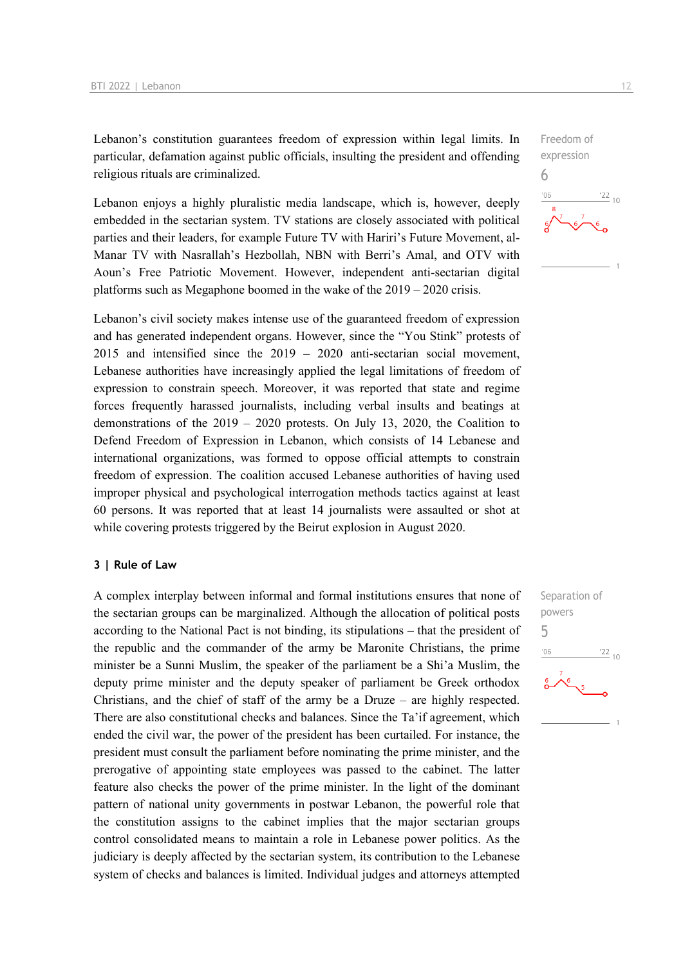Lebanon's constitution guarantees freedom of expression within legal limits. In particular, defamation against public officials, insulting the president and offending religious rituals are criminalized.

Lebanon enjoys a highly pluralistic media landscape, which is, however, deeply embedded in the sectarian system. TV stations are closely associated with political parties and their leaders, for example Future TV with Hariri's Future Movement, al-Manar TV with Nasrallah's Hezbollah, NBN with Berri's Amal, and OTV with Aoun's Free Patriotic Movement. However, independent anti-sectarian digital platforms such as Megaphone boomed in the wake of the 2019 – 2020 crisis.

Lebanon's civil society makes intense use of the guaranteed freedom of expression and has generated independent organs. However, since the "You Stink" protests of 2015 and intensified since the 2019 – 2020 anti-sectarian social movement, Lebanese authorities have increasingly applied the legal limitations of freedom of expression to constrain speech. Moreover, it was reported that state and regime forces frequently harassed journalists, including verbal insults and beatings at demonstrations of the 2019 – 2020 protests. On July 13, 2020, the Coalition to Defend Freedom of Expression in Lebanon, which consists of 14 Lebanese and international organizations, was formed to oppose official attempts to constrain freedom of expression. The coalition accused Lebanese authorities of having used improper physical and psychological interrogation methods tactics against at least 60 persons. It was reported that at least 14 journalists were assaulted or shot at while covering protests triggered by the Beirut explosion in August 2020.

#### **3 | Rule of Law**

A complex interplay between informal and formal institutions ensures that none of the sectarian groups can be marginalized. Although the allocation of political posts according to the National Pact is not binding, its stipulations – that the president of the republic and the commander of the army be Maronite Christians, the prime minister be a Sunni Muslim, the speaker of the parliament be a Shi'a Muslim, the deputy prime minister and the deputy speaker of parliament be Greek orthodox Christians, and the chief of staff of the army be a Druze – are highly respected. There are also constitutional checks and balances. Since the Ta'if agreement, which ended the civil war, the power of the president has been curtailed. For instance, the president must consult the parliament before nominating the prime minister, and the prerogative of appointing state employees was passed to the cabinet. The latter feature also checks the power of the prime minister. In the light of the dominant pattern of national unity governments in postwar Lebanon, the powerful role that the constitution assigns to the cabinet implies that the major sectarian groups control consolidated means to maintain a role in Lebanese power politics. As the judiciary is deeply affected by the sectarian system, its contribution to the Lebanese system of checks and balances is limited. Individual judges and attorneys attempted

Freedom of expression 6  $\frac{22}{10}$  $106$ 

Separation of powers 5 $\frac{22}{10}$  $106$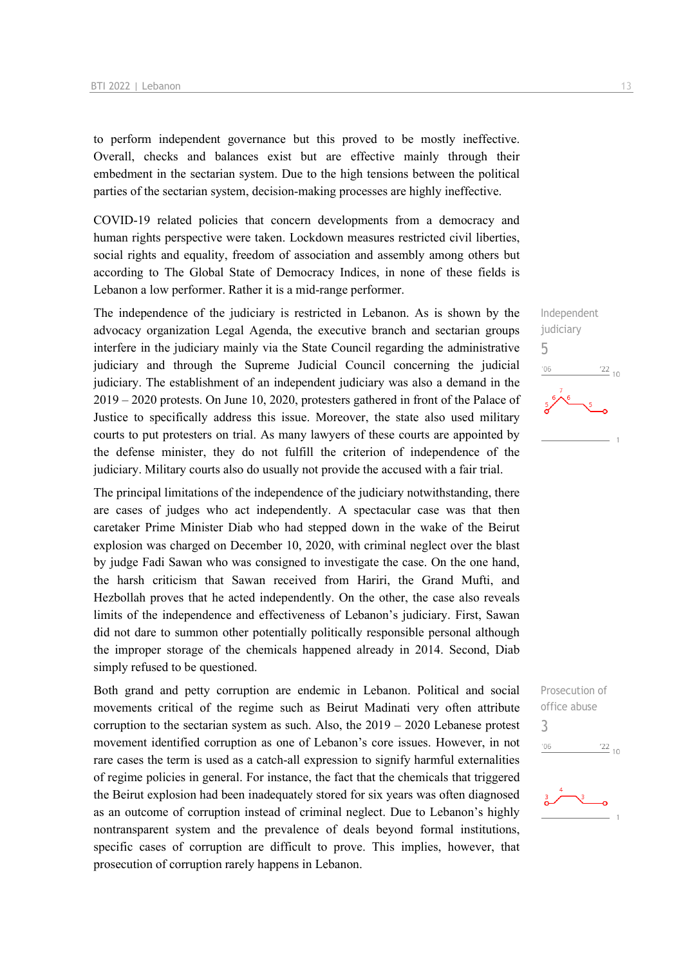to perform independent governance but this proved to be mostly ineffective. Overall, checks and balances exist but are effective mainly through their embedment in the sectarian system. Due to the high tensions between the political parties of the sectarian system, decision-making processes are highly ineffective.

COVID-19 related policies that concern developments from a democracy and human rights perspective were taken. Lockdown measures restricted civil liberties, social rights and equality, freedom of association and assembly among others but according to The Global State of Democracy Indices, in none of these fields is Lebanon a low performer. Rather it is a mid-range performer.

The independence of the judiciary is restricted in Lebanon. As is shown by the advocacy organization Legal Agenda, the executive branch and sectarian groups interfere in the judiciary mainly via the State Council regarding the administrative judiciary and through the Supreme Judicial Council concerning the judicial judiciary. The establishment of an independent judiciary was also a demand in the 2019 – 2020 protests. On June 10, 2020, protesters gathered in front of the Palace of Justice to specifically address this issue. Moreover, the state also used military courts to put protesters on trial. As many lawyers of these courts are appointed by the defense minister, they do not fulfill the criterion of independence of the judiciary. Military courts also do usually not provide the accused with a fair trial.

The principal limitations of the independence of the judiciary notwithstanding, there are cases of judges who act independently. A spectacular case was that then caretaker Prime Minister Diab who had stepped down in the wake of the Beirut explosion was charged on December 10, 2020, with criminal neglect over the blast by judge Fadi Sawan who was consigned to investigate the case. On the one hand, the harsh criticism that Sawan received from Hariri, the Grand Mufti, and Hezbollah proves that he acted independently. On the other, the case also reveals limits of the independence and effectiveness of Lebanon's judiciary. First, Sawan did not dare to summon other potentially politically responsible personal although the improper storage of the chemicals happened already in 2014. Second, Diab simply refused to be questioned.

Both grand and petty corruption are endemic in Lebanon. Political and social movements critical of the regime such as Beirut Madinati very often attribute corruption to the sectarian system as such. Also, the 2019 – 2020 Lebanese protest movement identified corruption as one of Lebanon's core issues. However, in not rare cases the term is used as a catch-all expression to signify harmful externalities of regime policies in general. For instance, the fact that the chemicals that triggered the Beirut explosion had been inadequately stored for six years was often diagnosed as an outcome of corruption instead of criminal neglect. Due to Lebanon's highly nontransparent system and the prevalence of deals beyond formal institutions, specific cases of corruption are difficult to prove. This implies, however, that prosecution of corruption rarely happens in Lebanon.



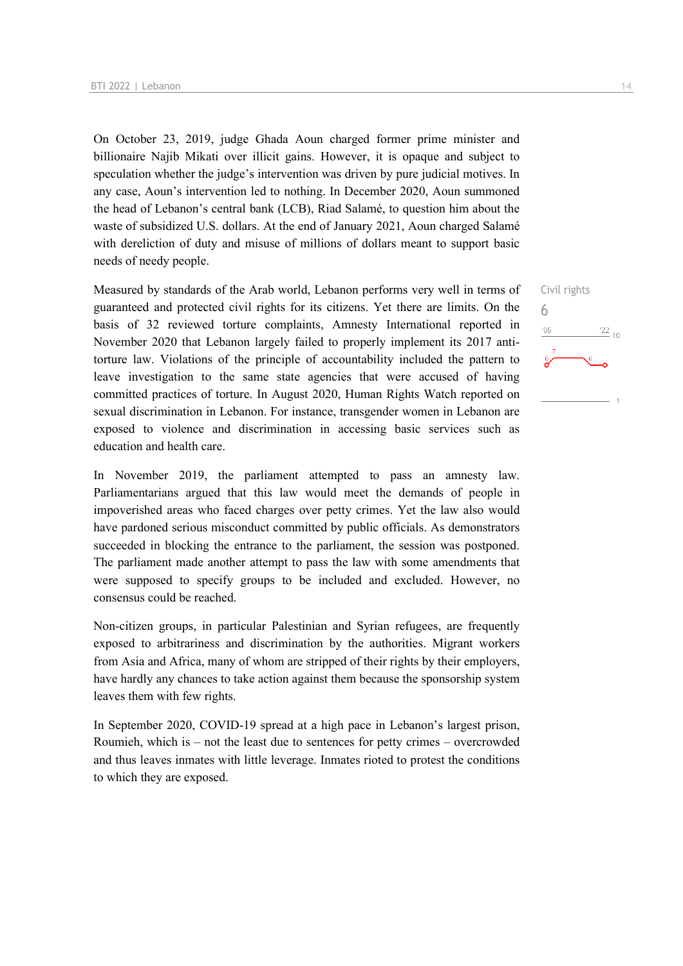On October 23, 2019, judge Ghada Aoun charged former prime minister and billionaire Najib Mikati over illicit gains. However, it is opaque and subject to speculation whether the judge's intervention was driven by pure judicial motives. In any case, Aoun's intervention led to nothing. In December 2020, Aoun summoned the head of Lebanon's central bank (LCB), Riad Salamé, to question him about the waste of subsidized U.S. dollars. At the end of January 2021, Aoun charged Salamé with dereliction of duty and misuse of millions of dollars meant to support basic needs of needy people.

Measured by standards of the Arab world, Lebanon performs very well in terms of guaranteed and protected civil rights for its citizens. Yet there are limits. On the basis of 32 reviewed torture complaints, Amnesty International reported in November 2020 that Lebanon largely failed to properly implement its 2017 antitorture law. Violations of the principle of accountability included the pattern to leave investigation to the same state agencies that were accused of having committed practices of torture. In August 2020, Human Rights Watch reported on sexual discrimination in Lebanon. For instance, transgender women in Lebanon are exposed to violence and discrimination in accessing basic services such as education and health care.

In November 2019, the parliament attempted to pass an amnesty law. Parliamentarians argued that this law would meet the demands of people in impoverished areas who faced charges over petty crimes. Yet the law also would have pardoned serious misconduct committed by public officials. As demonstrators succeeded in blocking the entrance to the parliament, the session was postponed. The parliament made another attempt to pass the law with some amendments that were supposed to specify groups to be included and excluded. However, no consensus could be reached.

Non-citizen groups, in particular Palestinian and Syrian refugees, are frequently exposed to arbitrariness and discrimination by the authorities. Migrant workers from Asia and Africa, many of whom are stripped of their rights by their employers, have hardly any chances to take action against them because the sponsorship system leaves them with few rights.

In September 2020, COVID-19 spread at a high pace in Lebanon's largest prison, Roumieh, which is – not the least due to sentences for petty crimes – overcrowded and thus leaves inmates with little leverage. Inmates rioted to protest the conditions to which they are exposed.

Civil rights 6 $\frac{22}{10}$  $06'$  $\overline{1}$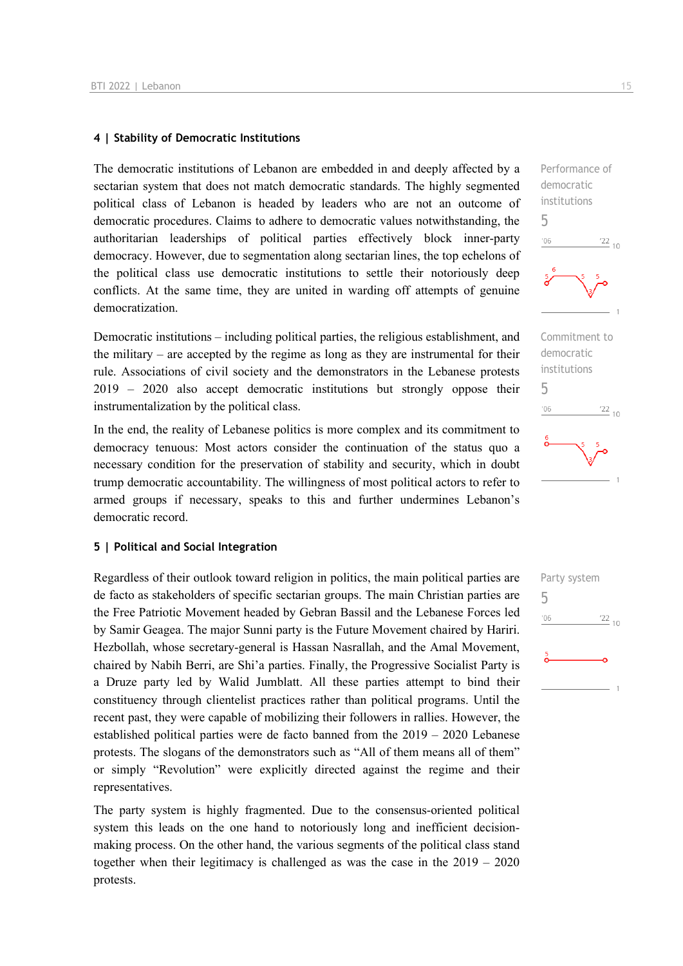#### **4 | Stability of Democratic Institutions**

The democratic institutions of Lebanon are embedded in and deeply affected by a sectarian system that does not match democratic standards. The highly segmented political class of Lebanon is headed by leaders who are not an outcome of democratic procedures. Claims to adhere to democratic values notwithstanding, the authoritarian leaderships of political parties effectively block inner-party democracy. However, due to segmentation along sectarian lines, the top echelons of the political class use democratic institutions to settle their notoriously deep conflicts. At the same time, they are united in warding off attempts of genuine democratization.

Democratic institutions – including political parties, the religious establishment, and the military – are accepted by the regime as long as they are instrumental for their rule. Associations of civil society and the demonstrators in the Lebanese protests 2019 – 2020 also accept democratic institutions but strongly oppose their instrumentalization by the political class.

In the end, the reality of Lebanese politics is more complex and its commitment to democracy tenuous: Most actors consider the continuation of the status quo a necessary condition for the preservation of stability and security, which in doubt trump democratic accountability. The willingness of most political actors to refer to armed groups if necessary, speaks to this and further undermines Lebanon's democratic record.

## **5 | Political and Social Integration**

Regardless of their outlook toward religion in politics, the main political parties are de facto as stakeholders of specific sectarian groups. The main Christian parties are the Free Patriotic Movement headed by Gebran Bassil and the Lebanese Forces led by Samir Geagea. The major Sunni party is the Future Movement chaired by Hariri. Hezbollah, whose secretary-general is Hassan Nasrallah, and the Amal Movement, chaired by Nabih Berri, are Shi'a parties. Finally, the Progressive Socialist Party is a Druze party led by Walid Jumblatt. All these parties attempt to bind their constituency through clientelist practices rather than political programs. Until the recent past, they were capable of mobilizing their followers in rallies. However, the established political parties were de facto banned from the 2019 – 2020 Lebanese protests. The slogans of the demonstrators such as "All of them means all of them" or simply "Revolution" were explicitly directed against the regime and their representatives.

The party system is highly fragmented. Due to the consensus-oriented political system this leads on the one hand to notoriously long and inefficient decisionmaking process. On the other hand, the various segments of the political class stand together when their legitimacy is challenged as was the case in the 2019 – 2020 protests.



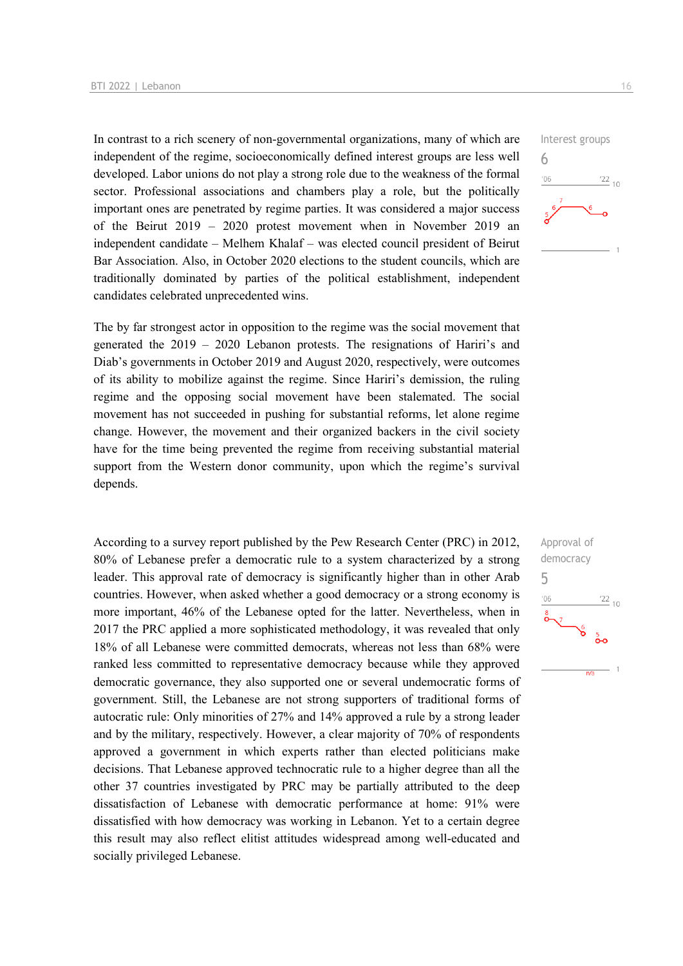In contrast to a rich scenery of non-governmental organizations, many of which are independent of the regime, socioeconomically defined interest groups are less well developed. Labor unions do not play a strong role due to the weakness of the formal sector. Professional associations and chambers play a role, but the politically important ones are penetrated by regime parties. It was considered a major success of the Beirut 2019 – 2020 protest movement when in November 2019 an independent candidate – Melhem Khalaf – was elected council president of Beirut Bar Association. Also, in October 2020 elections to the student councils, which are traditionally dominated by parties of the political establishment, independent candidates celebrated unprecedented wins.

The by far strongest actor in opposition to the regime was the social movement that generated the 2019 – 2020 Lebanon protests. The resignations of Hariri's and Diab's governments in October 2019 and August 2020, respectively, were outcomes of its ability to mobilize against the regime. Since Hariri's demission, the ruling regime and the opposing social movement have been stalemated. The social movement has not succeeded in pushing for substantial reforms, let alone regime change. However, the movement and their organized backers in the civil society have for the time being prevented the regime from receiving substantial material support from the Western donor community, upon which the regime's survival depends.

According to a survey report published by the Pew Research Center (PRC) in 2012, 80% of Lebanese prefer a democratic rule to a system characterized by a strong leader. This approval rate of democracy is significantly higher than in other Arab countries. However, when asked whether a good democracy or a strong economy is more important, 46% of the Lebanese opted for the latter. Nevertheless, when in 2017 the PRC applied a more sophisticated methodology, it was revealed that only 18% of all Lebanese were committed democrats, whereas not less than 68% were ranked less committed to representative democracy because while they approved democratic governance, they also supported one or several undemocratic forms of government. Still, the Lebanese are not strong supporters of traditional forms of autocratic rule: Only minorities of 27% and 14% approved a rule by a strong leader and by the military, respectively. However, a clear majority of 70% of respondents approved a government in which experts rather than elected politicians make decisions. That Lebanese approved technocratic rule to a higher degree than all the other 37 countries investigated by PRC may be partially attributed to the deep dissatisfaction of Lebanese with democratic performance at home: 91% were dissatisfied with how democracy was working in Lebanon. Yet to a certain degree this result may also reflect elitist attitudes widespread among well-educated and socially privileged Lebanese.



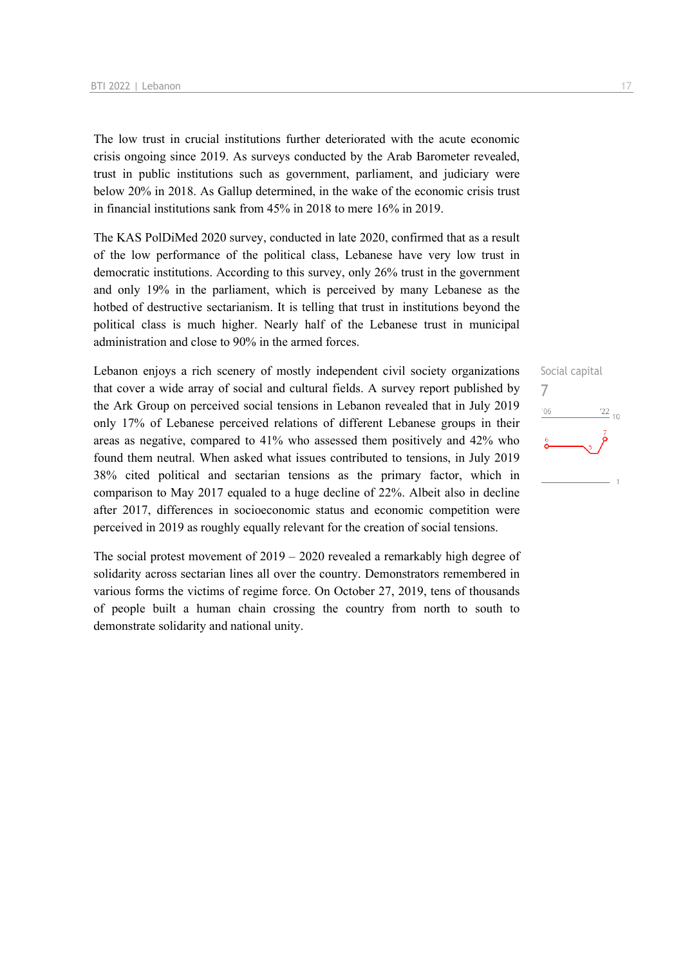The low trust in crucial institutions further deteriorated with the acute economic crisis ongoing since 2019. As surveys conducted by the Arab Barometer revealed, trust in public institutions such as government, parliament, and judiciary were below 20% in 2018. As Gallup determined, in the wake of the economic crisis trust in financial institutions sank from 45% in 2018 to mere 16% in 2019.

The KAS PolDiMed 2020 survey, conducted in late 2020, confirmed that as a result of the low performance of the political class, Lebanese have very low trust in democratic institutions. According to this survey, only 26% trust in the government and only 19% in the parliament, which is perceived by many Lebanese as the hotbed of destructive sectarianism. It is telling that trust in institutions beyond the political class is much higher. Nearly half of the Lebanese trust in municipal administration and close to 90% in the armed forces.

Lebanon enjoys a rich scenery of mostly independent civil society organizations that cover a wide array of social and cultural fields. A survey report published by the Ark Group on perceived social tensions in Lebanon revealed that in July 2019 only 17% of Lebanese perceived relations of different Lebanese groups in their areas as negative, compared to 41% who assessed them positively and 42% who found them neutral. When asked what issues contributed to tensions, in July 2019 38% cited political and sectarian tensions as the primary factor, which in comparison to May 2017 equaled to a huge decline of 22%. Albeit also in decline after 2017, differences in socioeconomic status and economic competition were perceived in 2019 as roughly equally relevant for the creation of social tensions.

The social protest movement of 2019 – 2020 revealed a remarkably high degree of solidarity across sectarian lines all over the country. Demonstrators remembered in various forms the victims of regime force. On October 27, 2019, tens of thousands of people built a human chain crossing the country from north to south to demonstrate solidarity and national unity.

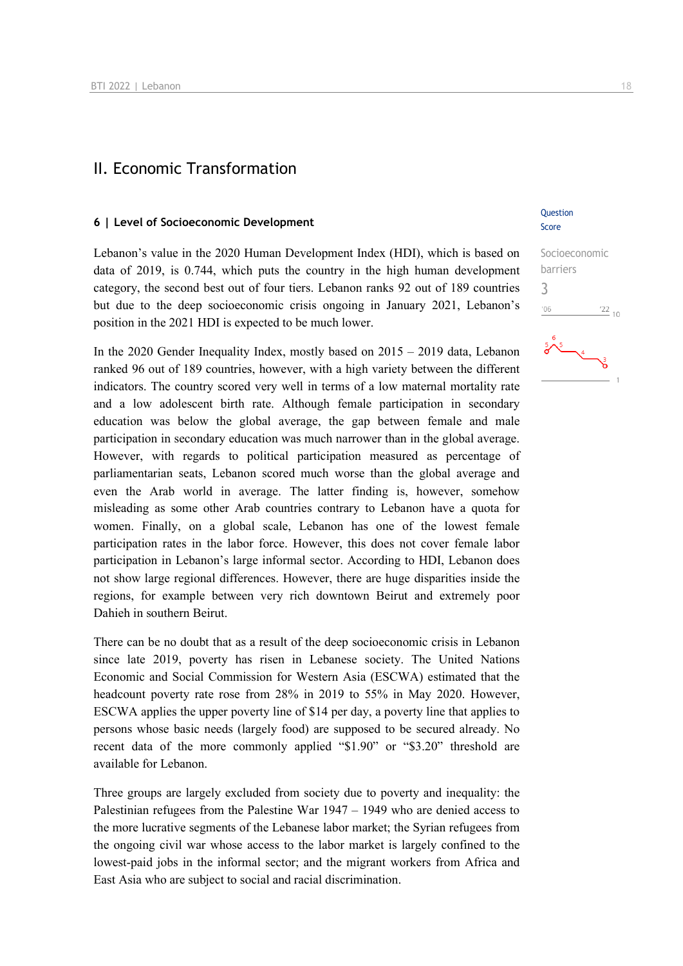## II. Economic Transformation

#### **6 | Level of Socioeconomic Development**

Lebanon's value in the 2020 Human Development Index (HDI), which is based on data of 2019, is 0.744, which puts the country in the high human development category, the second best out of four tiers. Lebanon ranks 92 out of 189 countries but due to the deep socioeconomic crisis ongoing in January 2021, Lebanon's position in the 2021 HDI is expected to be much lower.

In the 2020 Gender Inequality Index, mostly based on 2015 – 2019 data, Lebanon ranked 96 out of 189 countries, however, with a high variety between the different indicators. The country scored very well in terms of a low maternal mortality rate and a low adolescent birth rate. Although female participation in secondary education was below the global average, the gap between female and male participation in secondary education was much narrower than in the global average. However, with regards to political participation measured as percentage of parliamentarian seats, Lebanon scored much worse than the global average and even the Arab world in average. The latter finding is, however, somehow misleading as some other Arab countries contrary to Lebanon have a quota for women. Finally, on a global scale, Lebanon has one of the lowest female participation rates in the labor force. However, this does not cover female labor participation in Lebanon's large informal sector. According to HDI, Lebanon does not show large regional differences. However, there are huge disparities inside the regions, for example between very rich downtown Beirut and extremely poor Dahieh in southern Beirut.

There can be no doubt that as a result of the deep socioeconomic crisis in Lebanon since late 2019, poverty has risen in Lebanese society. The United Nations Economic and Social Commission for Western Asia (ESCWA) estimated that the headcount poverty rate rose from 28% in 2019 to 55% in May 2020. However, ESCWA applies the upper poverty line of \$14 per day, a poverty line that applies to persons whose basic needs (largely food) are supposed to be secured already. No recent data of the more commonly applied "\$1.90" or "\$3.20" threshold are available for Lebanon.

Three groups are largely excluded from society due to poverty and inequality: the Palestinian refugees from the Palestine War 1947 – 1949 who are denied access to the more lucrative segments of the Lebanese labor market; the Syrian refugees from the ongoing civil war whose access to the labor market is largely confined to the lowest-paid jobs in the informal sector; and the migrant workers from Africa and East Asia who are subject to social and racial discrimination.

## Question Score

## Socioeconomic barriers 3'06  $^{'}22$ <sub>10</sub>

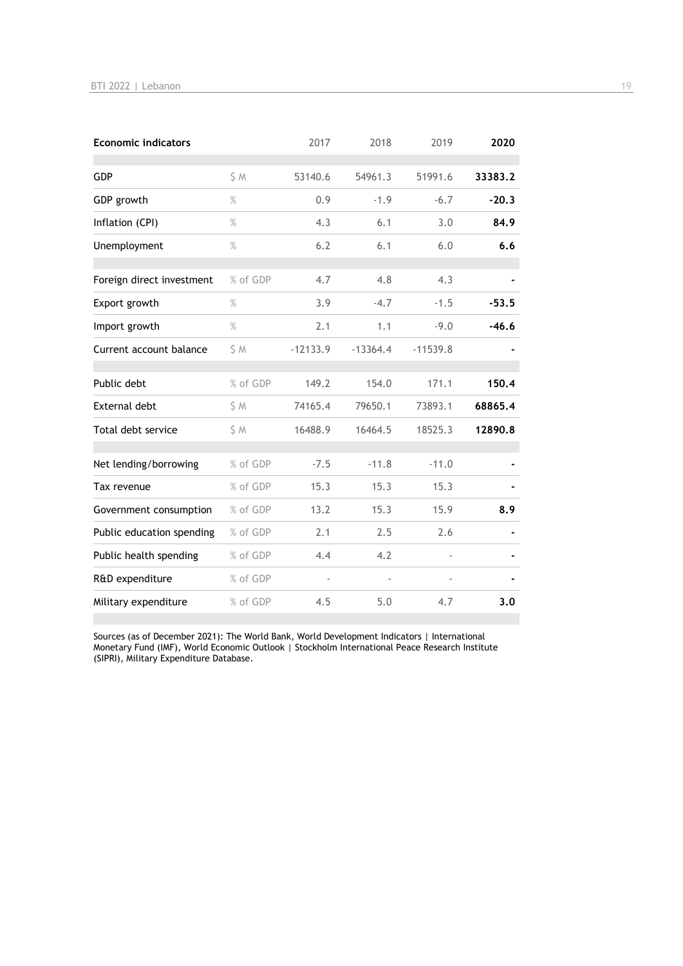| <b>Economic indicators</b> |          | 2017       | 2018       | 2019       | 2020    |
|----------------------------|----------|------------|------------|------------|---------|
| GDP                        | S M      | 53140.6    | 54961.3    | 51991.6    | 33383.2 |
| GDP growth                 | $\%$     | 0.9        | $-1.9$     | $-6.7$     | $-20.3$ |
| Inflation (CPI)            | $\%$     | 4.3        | 6.1        | 3.0        | 84.9    |
| Unemployment               | $\%$     | 6.2        | 6.1        | 6.0        | 6.6     |
| Foreign direct investment  | % of GDP | 4.7        | 4.8        | 4.3        |         |
| Export growth              | $\%$     | 3.9        | $-4.7$     | $-1.5$     | $-53.5$ |
| Import growth              | $\%$     | 2.1        | 1.1        | $-9.0$     | $-46.6$ |
| Current account balance    | \$M      | $-12133.9$ | $-13364.4$ | $-11539.8$ |         |
| Public debt                | % of GDP | 149.2      | 154.0      | 171.1      | 150.4   |
| <b>External debt</b>       | \$M      | 74165.4    | 79650.1    | 73893.1    | 68865.4 |
| Total debt service         | \$M      | 16488.9    | 16464.5    | 18525.3    | 12890.8 |
| Net lending/borrowing      | % of GDP | $-7.5$     | $-11.8$    | $-11.0$    |         |
| Tax revenue                | % of GDP | 15.3       | 15.3       | 15.3       |         |
| Government consumption     | % of GDP | 13.2       | 15.3       | 15.9       | 8.9     |
| Public education spending  | % of GDP | 2.1        | 2.5        | 2.6        |         |
| Public health spending     | % of GDP | 4.4        | 4.2        |            |         |
| R&D expenditure            | % of GDP |            |            |            |         |
| Military expenditure       | % of GDP | 4.5        | 5.0        | 4.7        | 3.0     |

Sources (as of December 2021): The World Bank, World Development Indicators | International Monetary Fund (IMF), World Economic Outlook | Stockholm International Peace Research Institute (SIPRI), Military Expenditure Database.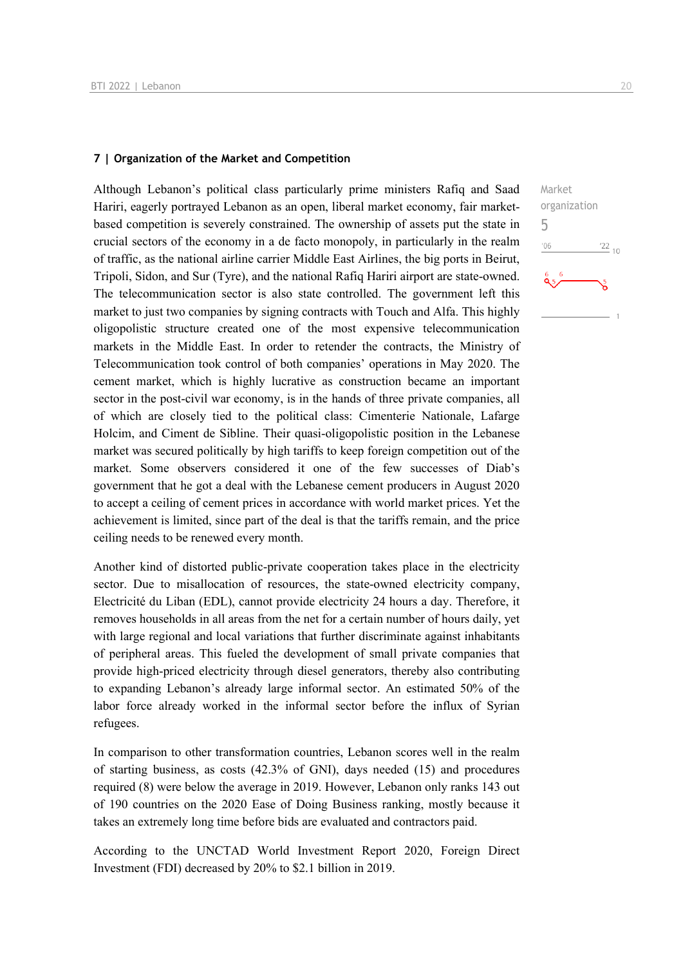## **7 | Organization of the Market and Competition**

Although Lebanon's political class particularly prime ministers Rafiq and Saad Hariri, eagerly portrayed Lebanon as an open, liberal market economy, fair marketbased competition is severely constrained. The ownership of assets put the state in crucial sectors of the economy in a de facto monopoly, in particularly in the realm of traffic, as the national airline carrier Middle East Airlines, the big ports in Beirut, Tripoli, Sidon, and Sur (Tyre), and the national Rafiq Hariri airport are state-owned. The telecommunication sector is also state controlled. The government left this market to just two companies by signing contracts with Touch and Alfa. This highly oligopolistic structure created one of the most expensive telecommunication markets in the Middle East. In order to retender the contracts, the Ministry of Telecommunication took control of both companies' operations in May 2020. The cement market, which is highly lucrative as construction became an important sector in the post-civil war economy, is in the hands of three private companies, all of which are closely tied to the political class: Cimenterie Nationale, Lafarge Holcim, and Ciment de Sibline. Their quasi-oligopolistic position in the Lebanese market was secured politically by high tariffs to keep foreign competition out of the market. Some observers considered it one of the few successes of Diab's government that he got a deal with the Lebanese cement producers in August 2020 to accept a ceiling of cement prices in accordance with world market prices. Yet the achievement is limited, since part of the deal is that the tariffs remain, and the price ceiling needs to be renewed every month.

Another kind of distorted public-private cooperation takes place in the electricity sector. Due to misallocation of resources, the state-owned electricity company, Electricité du Liban (EDL), cannot provide electricity 24 hours a day. Therefore, it removes households in all areas from the net for a certain number of hours daily, yet with large regional and local variations that further discriminate against inhabitants of peripheral areas. This fueled the development of small private companies that provide high-priced electricity through diesel generators, thereby also contributing to expanding Lebanon's already large informal sector. An estimated 50% of the labor force already worked in the informal sector before the influx of Syrian refugees.

In comparison to other transformation countries, Lebanon scores well in the realm of starting business, as costs (42.3% of GNI), days needed (15) and procedures required (8) were below the average in 2019. However, Lebanon only ranks 143 out of 190 countries on the 2020 Ease of Doing Business ranking, mostly because it takes an extremely long time before bids are evaluated and contractors paid.

According to the UNCTAD World Investment Report 2020, Foreign Direct Investment (FDI) decreased by 20% to \$2.1 billion in 2019.

 $\frac{22}{10}$ 

Market organization

5 $06'$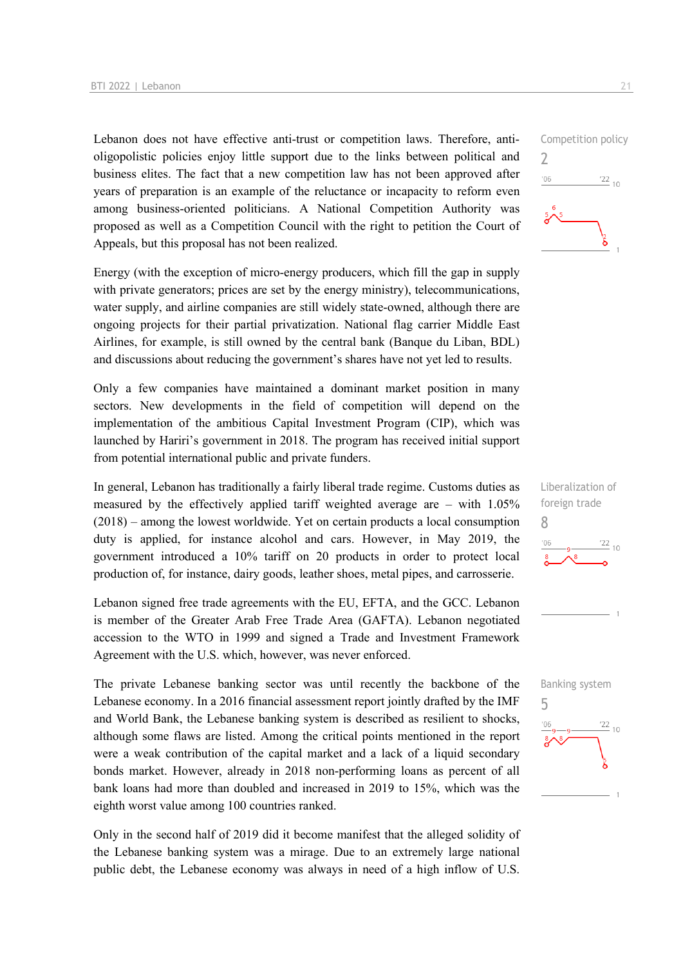Lebanon does not have effective anti-trust or competition laws. Therefore, antioligopolistic policies enjoy little support due to the links between political and business elites. The fact that a new competition law has not been approved after years of preparation is an example of the reluctance or incapacity to reform even among business-oriented politicians. A National Competition Authority was proposed as well as a Competition Council with the right to petition the Court of Appeals, but this proposal has not been realized.

Energy (with the exception of micro-energy producers, which fill the gap in supply with private generators; prices are set by the energy ministry), telecommunications, water supply, and airline companies are still widely state-owned, although there are ongoing projects for their partial privatization. National flag carrier Middle East Airlines, for example, is still owned by the central bank (Banque du Liban, BDL) and discussions about reducing the government's shares have not yet led to results.

Only a few companies have maintained a dominant market position in many sectors. New developments in the field of competition will depend on the implementation of the ambitious Capital Investment Program (CIP), which was launched by Hariri's government in 2018. The program has received initial support from potential international public and private funders.

In general, Lebanon has traditionally a fairly liberal trade regime. Customs duties as measured by the effectively applied tariff weighted average are – with 1.05% (2018) – among the lowest worldwide. Yet on certain products a local consumption duty is applied, for instance alcohol and cars. However, in May 2019, the government introduced a 10% tariff on 20 products in order to protect local production of, for instance, dairy goods, leather shoes, metal pipes, and carrosserie.

Lebanon signed free trade agreements with the EU, EFTA, and the GCC. Lebanon is member of the Greater Arab Free Trade Area (GAFTA). Lebanon negotiated accession to the WTO in 1999 and signed a Trade and Investment Framework Agreement with the U.S. which, however, was never enforced.

The private Lebanese banking sector was until recently the backbone of the Lebanese economy. In a 2016 financial assessment report jointly drafted by the IMF and World Bank, the Lebanese banking system is described as resilient to shocks, although some flaws are listed. Among the critical points mentioned in the report were a weak contribution of the capital market and a lack of a liquid secondary bonds market. However, already in 2018 non-performing loans as percent of all bank loans had more than doubled and increased in 2019 to 15%, which was the eighth worst value among 100 countries ranked.

Only in the second half of 2019 did it become manifest that the alleged solidity of the Lebanese banking system was a mirage. Due to an extremely large national public debt, the Lebanese economy was always in need of a high inflow of U.S.





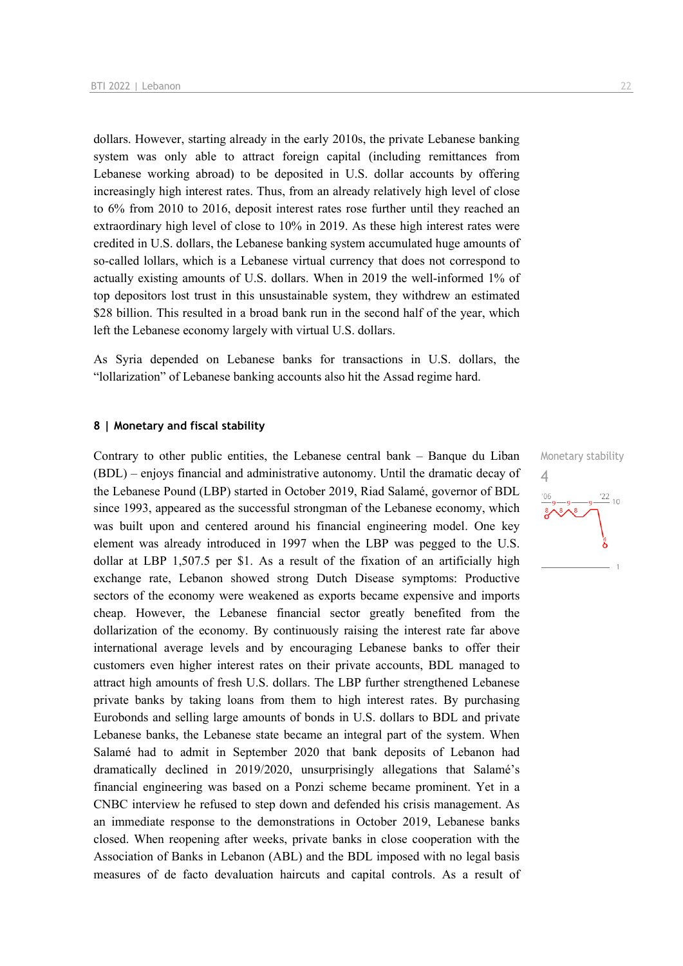dollars. However, starting already in the early 2010s, the private Lebanese banking system was only able to attract foreign capital (including remittances from Lebanese working abroad) to be deposited in U.S. dollar accounts by offering increasingly high interest rates. Thus, from an already relatively high level of close to 6% from 2010 to 2016, deposit interest rates rose further until they reached an extraordinary high level of close to 10% in 2019. As these high interest rates were credited in U.S. dollars, the Lebanese banking system accumulated huge amounts of so-called lollars, which is a Lebanese virtual currency that does not correspond to actually existing amounts of U.S. dollars. When in 2019 the well-informed 1% of top depositors lost trust in this unsustainable system, they withdrew an estimated \$28 billion. This resulted in a broad bank run in the second half of the year, which left the Lebanese economy largely with virtual U.S. dollars.

As Syria depended on Lebanese banks for transactions in U.S. dollars, the "lollarization" of Lebanese banking accounts also hit the Assad regime hard.

#### **8 | Monetary and fiscal stability**

Contrary to other public entities, the Lebanese central bank – Banque du Liban (BDL) – enjoys financial and administrative autonomy. Until the dramatic decay of the Lebanese Pound (LBP) started in October 2019, Riad Salamé, governor of BDL since 1993, appeared as the successful strongman of the Lebanese economy, which was built upon and centered around his financial engineering model. One key element was already introduced in 1997 when the LBP was pegged to the U.S. dollar at LBP 1,507.5 per \$1. As a result of the fixation of an artificially high exchange rate, Lebanon showed strong Dutch Disease symptoms: Productive sectors of the economy were weakened as exports became expensive and imports cheap. However, the Lebanese financial sector greatly benefited from the dollarization of the economy. By continuously raising the interest rate far above international average levels and by encouraging Lebanese banks to offer their customers even higher interest rates on their private accounts, BDL managed to attract high amounts of fresh U.S. dollars. The LBP further strengthened Lebanese private banks by taking loans from them to high interest rates. By purchasing Eurobonds and selling large amounts of bonds in U.S. dollars to BDL and private Lebanese banks, the Lebanese state became an integral part of the system. When Salamé had to admit in September 2020 that bank deposits of Lebanon had dramatically declined in 2019/2020, unsurprisingly allegations that Salamé's financial engineering was based on a Ponzi scheme became prominent. Yet in a CNBC interview he refused to step down and defended his crisis management. As an immediate response to the demonstrations in October 2019, Lebanese banks closed. When reopening after weeks, private banks in close cooperation with the Association of Banks in Lebanon (ABL) and the BDL imposed with no legal basis measures of de facto devaluation haircuts and capital controls. As a result of

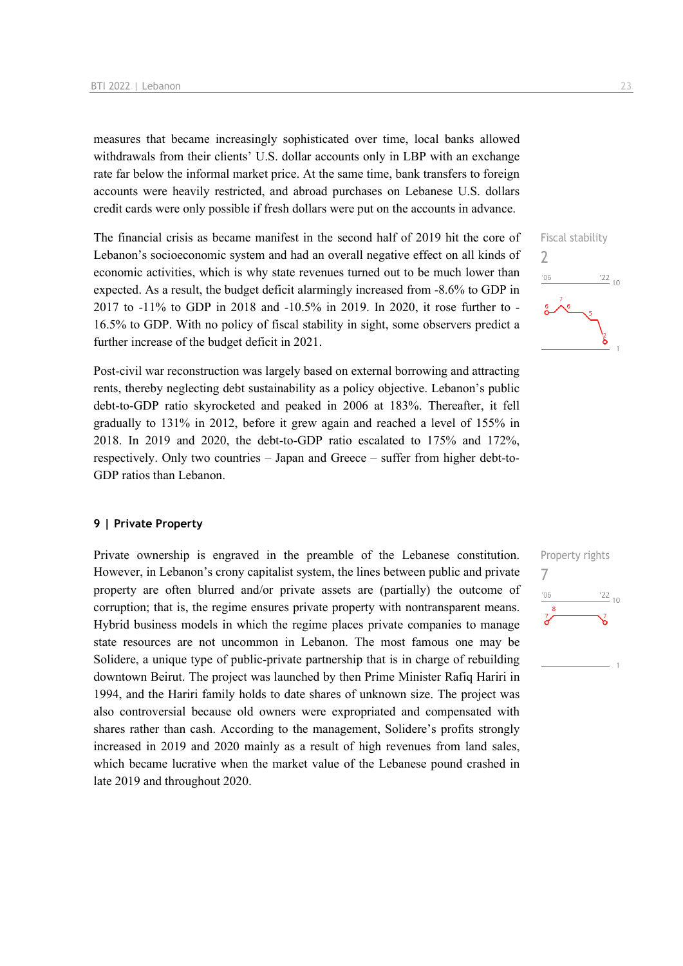measures that became increasingly sophisticated over time, local banks allowed withdrawals from their clients' U.S. dollar accounts only in LBP with an exchange rate far below the informal market price. At the same time, bank transfers to foreign accounts were heavily restricted, and abroad purchases on Lebanese U.S. dollars credit cards were only possible if fresh dollars were put on the accounts in advance.

The financial crisis as became manifest in the second half of 2019 hit the core of Lebanon's socioeconomic system and had an overall negative effect on all kinds of economic activities, which is why state revenues turned out to be much lower than expected. As a result, the budget deficit alarmingly increased from -8.6% to GDP in 2017 to -11% to GDP in 2018 and -10.5% in 2019. In 2020, it rose further to - 16.5% to GDP. With no policy of fiscal stability in sight, some observers predict a further increase of the budget deficit in 2021.

Post-civil war reconstruction was largely based on external borrowing and attracting rents, thereby neglecting debt sustainability as a policy objective. Lebanon's public debt-to-GDP ratio skyrocketed and peaked in 2006 at 183%. Thereafter, it fell gradually to 131% in 2012, before it grew again and reached a level of 155% in 2018. In 2019 and 2020, the debt-to-GDP ratio escalated to 175% and 172%, respectively. Only two countries – Japan and Greece – suffer from higher debt-to-GDP ratios than Lebanon.

#### **9 | Private Property**

Private ownership is engraved in the preamble of the Lebanese constitution. However, in Lebanon's crony capitalist system, the lines between public and private property are often blurred and/or private assets are (partially) the outcome of corruption; that is, the regime ensures private property with nontransparent means. Hybrid business models in which the regime places private companies to manage state resources are not uncommon in Lebanon. The most famous one may be Solidere, a unique type of public-private partnership that is in charge of rebuilding downtown Beirut. The project was launched by then Prime Minister Rafiq Hariri in 1994, and the Hariri family holds to date shares of unknown size. The project was also controversial because old owners were expropriated and compensated with shares rather than cash. According to the management, Solidere's profits strongly increased in 2019 and 2020 mainly as a result of high revenues from land sales, which became lucrative when the market value of the Lebanese pound crashed in late 2019 and throughout 2020.



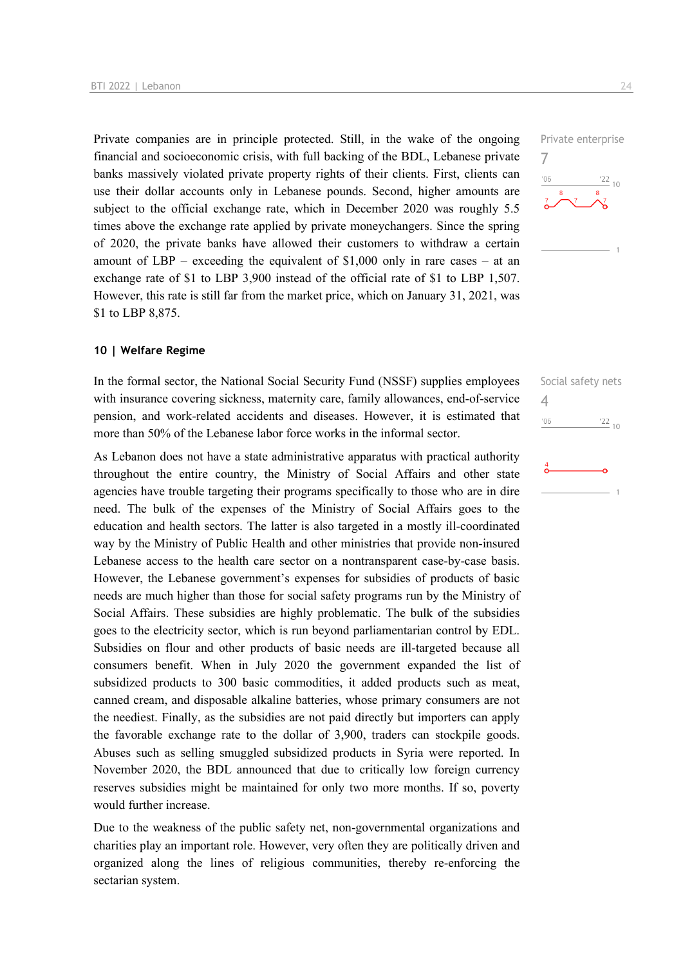Private companies are in principle protected. Still, in the wake of the ongoing financial and socioeconomic crisis, with full backing of the BDL, Lebanese private banks massively violated private property rights of their clients. First, clients can use their dollar accounts only in Lebanese pounds. Second, higher amounts are subject to the official exchange rate, which in December 2020 was roughly 5.5 times above the exchange rate applied by private moneychangers. Since the spring of 2020, the private banks have allowed their customers to withdraw a certain amount of LBP – exceeding the equivalent of \$1,000 only in rare cases – at an exchange rate of \$1 to LBP 3,900 instead of the official rate of \$1 to LBP 1,507. However, this rate is still far from the market price, which on January 31, 2021, was \$1 to LBP 8,875.

## **10 | Welfare Regime**

In the formal sector, the National Social Security Fund (NSSF) supplies employees with insurance covering sickness, maternity care, family allowances, end-of-service pension, and work-related accidents and diseases. However, it is estimated that more than 50% of the Lebanese labor force works in the informal sector.

As Lebanon does not have a state administrative apparatus with practical authority throughout the entire country, the Ministry of Social Affairs and other state agencies have trouble targeting their programs specifically to those who are in dire need. The bulk of the expenses of the Ministry of Social Affairs goes to the education and health sectors. The latter is also targeted in a mostly ill-coordinated way by the Ministry of Public Health and other ministries that provide non-insured Lebanese access to the health care sector on a nontransparent case-by-case basis. However, the Lebanese government's expenses for subsidies of products of basic needs are much higher than those for social safety programs run by the Ministry of Social Affairs. These subsidies are highly problematic. The bulk of the subsidies goes to the electricity sector, which is run beyond parliamentarian control by EDL. Subsidies on flour and other products of basic needs are ill-targeted because all consumers benefit. When in July 2020 the government expanded the list of subsidized products to 300 basic commodities, it added products such as meat, canned cream, and disposable alkaline batteries, whose primary consumers are not the neediest. Finally, as the subsidies are not paid directly but importers can apply the favorable exchange rate to the dollar of 3,900, traders can stockpile goods. Abuses such as selling smuggled subsidized products in Syria were reported. In November 2020, the BDL announced that due to critically low foreign currency reserves subsidies might be maintained for only two more months. If so, poverty would further increase.

Due to the weakness of the public safety net, non-governmental organizations and charities play an important role. However, very often they are politically driven and organized along the lines of religious communities, thereby re-enforcing the sectarian system.



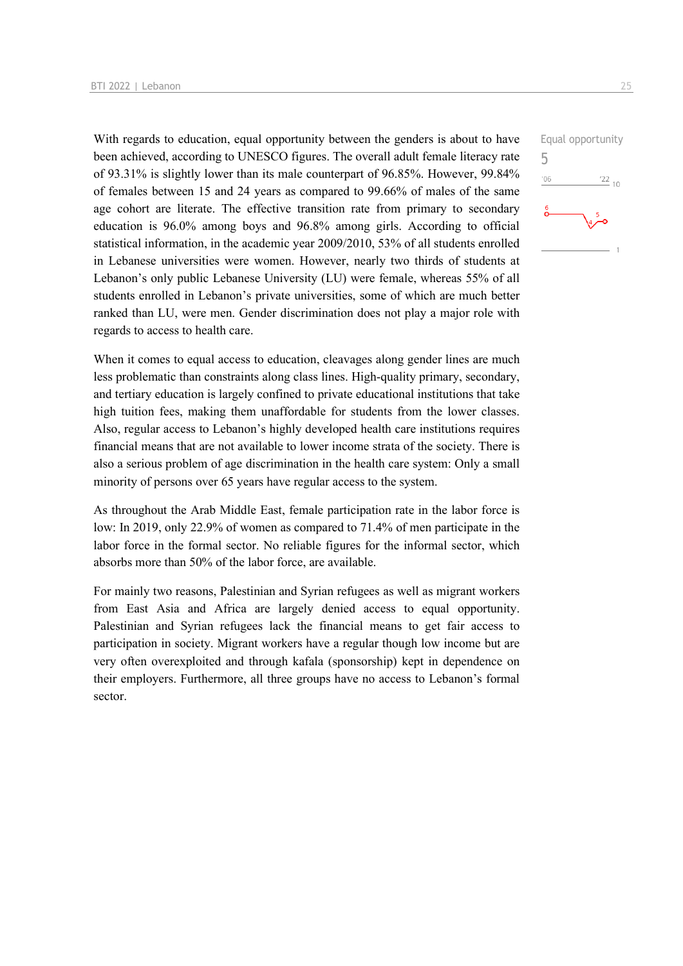With regards to education, equal opportunity between the genders is about to have been achieved, according to UNESCO figures. The overall adult female literacy rate of 93.31% is slightly lower than its male counterpart of 96.85%. However, 99.84% of females between 15 and 24 years as compared to 99.66% of males of the same age cohort are literate. The effective transition rate from primary to secondary education is 96.0% among boys and 96.8% among girls. According to official statistical information, in the academic year 2009/2010, 53% of all students enrolled in Lebanese universities were women. However, nearly two thirds of students at Lebanon's only public Lebanese University (LU) were female, whereas 55% of all students enrolled in Lebanon's private universities, some of which are much better ranked than LU, were men. Gender discrimination does not play a major role with regards to access to health care.

When it comes to equal access to education, cleavages along gender lines are much less problematic than constraints along class lines. High-quality primary, secondary, and tertiary education is largely confined to private educational institutions that take high tuition fees, making them unaffordable for students from the lower classes. Also, regular access to Lebanon's highly developed health care institutions requires financial means that are not available to lower income strata of the society. There is also a serious problem of age discrimination in the health care system: Only a small minority of persons over 65 years have regular access to the system.

As throughout the Arab Middle East, female participation rate in the labor force is low: In 2019, only 22.9% of women as compared to 71.4% of men participate in the labor force in the formal sector. No reliable figures for the informal sector, which absorbs more than 50% of the labor force, are available.

For mainly two reasons, Palestinian and Syrian refugees as well as migrant workers from East Asia and Africa are largely denied access to equal opportunity. Palestinian and Syrian refugees lack the financial means to get fair access to participation in society. Migrant workers have a regular though low income but are very often overexploited and through kafala (sponsorship) kept in dependence on their employers. Furthermore, all three groups have no access to Lebanon's formal sector.

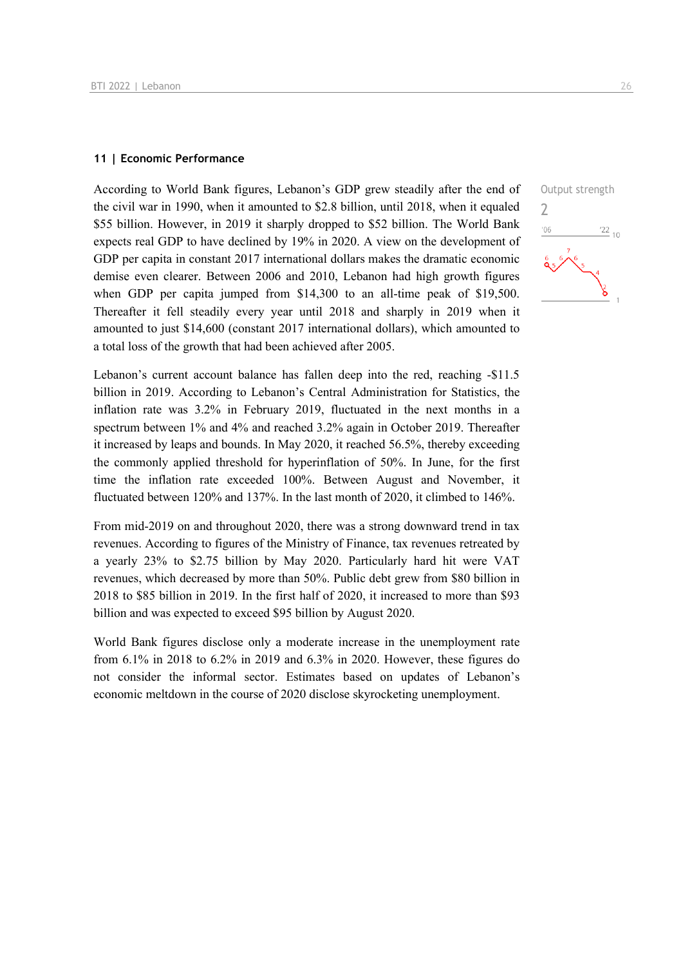## **11 | Economic Performance**

According to World Bank figures, Lebanon's GDP grew steadily after the end of the civil war in 1990, when it amounted to \$2.8 billion, until 2018, when it equaled \$55 billion. However, in 2019 it sharply dropped to \$52 billion. The World Bank expects real GDP to have declined by 19% in 2020. A view on the development of GDP per capita in constant 2017 international dollars makes the dramatic economic demise even clearer. Between 2006 and 2010, Lebanon had high growth figures when GDP per capita jumped from \$14,300 to an all-time peak of \$19,500. Thereafter it fell steadily every year until 2018 and sharply in 2019 when it amounted to just \$14,600 (constant 2017 international dollars), which amounted to a total loss of the growth that had been achieved after 2005.

Lebanon's current account balance has fallen deep into the red, reaching -\$11.5 billion in 2019. According to Lebanon's Central Administration for Statistics, the inflation rate was 3.2% in February 2019, fluctuated in the next months in a spectrum between 1% and 4% and reached 3.2% again in October 2019. Thereafter it increased by leaps and bounds. In May 2020, it reached 56.5%, thereby exceeding the commonly applied threshold for hyperinflation of 50%. In June, for the first time the inflation rate exceeded 100%. Between August and November, it fluctuated between 120% and 137%. In the last month of 2020, it climbed to 146%.

From mid-2019 on and throughout 2020, there was a strong downward trend in tax revenues. According to figures of the Ministry of Finance, tax revenues retreated by a yearly 23% to \$2.75 billion by May 2020. Particularly hard hit were VAT revenues, which decreased by more than 50%. Public debt grew from \$80 billion in 2018 to \$85 billion in 2019. In the first half of 2020, it increased to more than \$93 billion and was expected to exceed \$95 billion by August 2020.

World Bank figures disclose only a moderate increase in the unemployment rate from 6.1% in 2018 to 6.2% in 2019 and 6.3% in 2020. However, these figures do not consider the informal sector. Estimates based on updates of Lebanon's economic meltdown in the course of 2020 disclose skyrocketing unemployment.

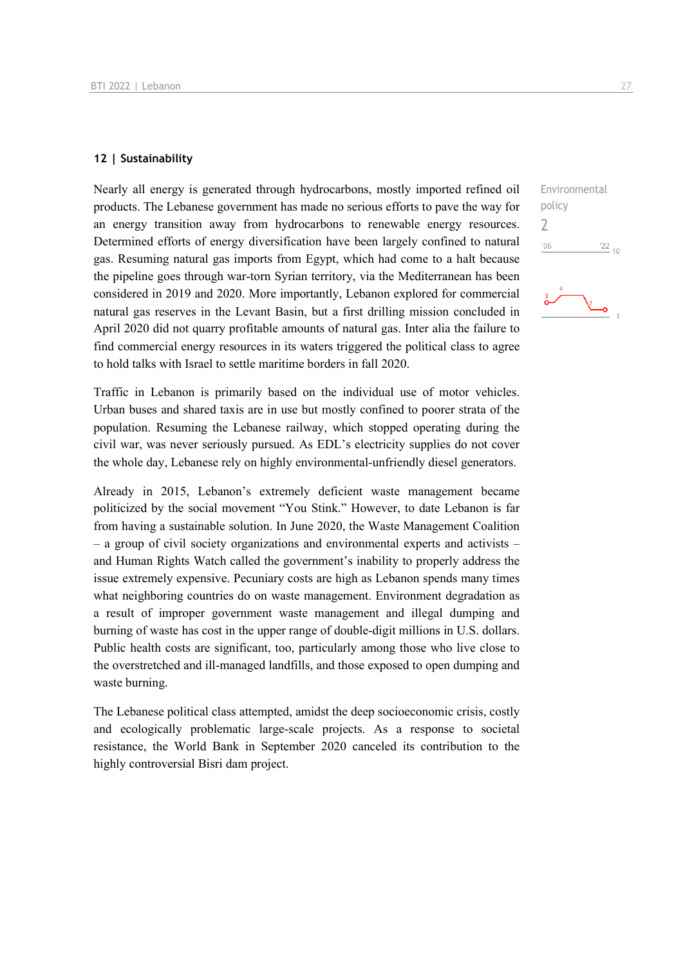## **12 | Sustainability**

Nearly all energy is generated through hydrocarbons, mostly imported refined oil products. The Lebanese government has made no serious efforts to pave the way for an energy transition away from hydrocarbons to renewable energy resources. Determined efforts of energy diversification have been largely confined to natural gas. Resuming natural gas imports from Egypt, which had come to a halt because the pipeline goes through war-torn Syrian territory, via the Mediterranean has been considered in 2019 and 2020. More importantly, Lebanon explored for commercial natural gas reserves in the Levant Basin, but a first drilling mission concluded in April 2020 did not quarry profitable amounts of natural gas. Inter alia the failure to find commercial energy resources in its waters triggered the political class to agree to hold talks with Israel to settle maritime borders in fall 2020.

Traffic in Lebanon is primarily based on the individual use of motor vehicles. Urban buses and shared taxis are in use but mostly confined to poorer strata of the population. Resuming the Lebanese railway, which stopped operating during the civil war, was never seriously pursued. As EDL's electricity supplies do not cover the whole day, Lebanese rely on highly environmental-unfriendly diesel generators.

Already in 2015, Lebanon's extremely deficient waste management became politicized by the social movement "You Stink." However, to date Lebanon is far from having a sustainable solution. In June 2020, the Waste Management Coalition – a group of civil society organizations and environmental experts and activists – and Human Rights Watch called the government's inability to properly address the issue extremely expensive. Pecuniary costs are high as Lebanon spends many times what neighboring countries do on waste management. Environment degradation as a result of improper government waste management and illegal dumping and burning of waste has cost in the upper range of double-digit millions in U.S. dollars. Public health costs are significant, too, particularly among those who live close to the overstretched and ill-managed landfills, and those exposed to open dumping and waste burning.

The Lebanese political class attempted, amidst the deep socioeconomic crisis, costly and ecologically problematic large-scale projects. As a response to societal resistance, the World Bank in September 2020 canceled its contribution to the highly controversial Bisri dam project.

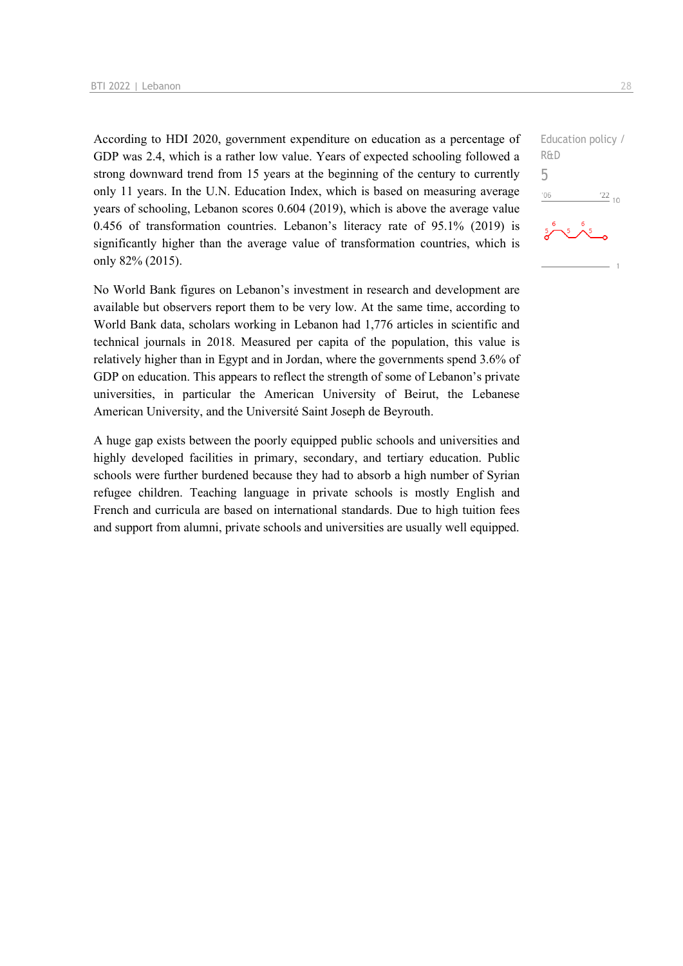According to HDI 2020, government expenditure on education as a percentage of GDP was 2.4, which is a rather low value. Years of expected schooling followed a strong downward trend from 15 years at the beginning of the century to currently only 11 years. In the U.N. Education Index, which is based on measuring average years of schooling, Lebanon scores 0.604 (2019), which is above the average value 0.456 of transformation countries. Lebanon's literacy rate of 95.1% (2019) is significantly higher than the average value of transformation countries, which is only 82% (2015).

No World Bank figures on Lebanon's investment in research and development are available but observers report them to be very low. At the same time, according to World Bank data, scholars working in Lebanon had 1,776 articles in scientific and technical journals in 2018. Measured per capita of the population, this value is relatively higher than in Egypt and in Jordan, where the governments spend 3.6% of GDP on education. This appears to reflect the strength of some of Lebanon's private universities, in particular the American University of Beirut, the Lebanese American University, and the Université Saint Joseph de Beyrouth.

A huge gap exists between the poorly equipped public schools and universities and highly developed facilities in primary, secondary, and tertiary education. Public schools were further burdened because they had to absorb a high number of Syrian refugee children. Teaching language in private schools is mostly English and French and curricula are based on international standards. Due to high tuition fees and support from alumni, private schools and universities are usually well equipped.

Education policy / R&D 5 $-06$  $\frac{22}{10}$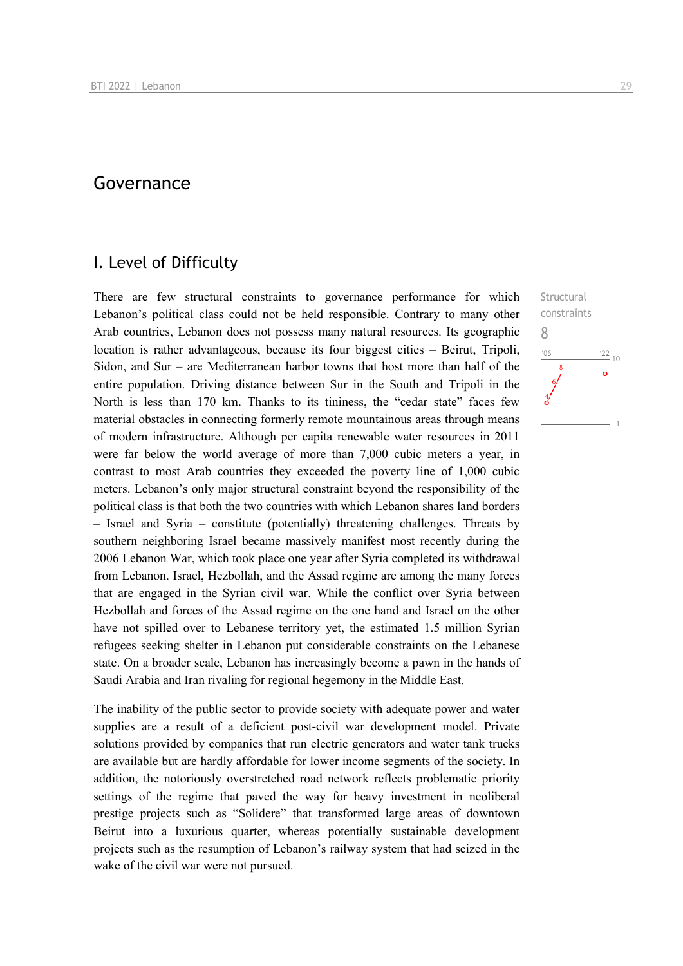## Governance

## I. Level of Difficulty

There are few structural constraints to governance performance for which Lebanon's political class could not be held responsible. Contrary to many other Arab countries, Lebanon does not possess many natural resources. Its geographic location is rather advantageous, because its four biggest cities – Beirut, Tripoli, Sidon, and Sur – are Mediterranean harbor towns that host more than half of the entire population. Driving distance between Sur in the South and Tripoli in the North is less than 170 km. Thanks to its tininess, the "cedar state" faces few material obstacles in connecting formerly remote mountainous areas through means of modern infrastructure. Although per capita renewable water resources in 2011 were far below the world average of more than 7,000 cubic meters a year, in contrast to most Arab countries they exceeded the poverty line of 1,000 cubic meters. Lebanon's only major structural constraint beyond the responsibility of the political class is that both the two countries with which Lebanon shares land borders – Israel and Syria – constitute (potentially) threatening challenges. Threats by southern neighboring Israel became massively manifest most recently during the 2006 Lebanon War, which took place one year after Syria completed its withdrawal from Lebanon. Israel, Hezbollah, and the Assad regime are among the many forces that are engaged in the Syrian civil war. While the conflict over Syria between Hezbollah and forces of the Assad regime on the one hand and Israel on the other have not spilled over to Lebanese territory yet, the estimated 1.5 million Syrian refugees seeking shelter in Lebanon put considerable constraints on the Lebanese state. On a broader scale, Lebanon has increasingly become a pawn in the hands of Saudi Arabia and Iran rivaling for regional hegemony in the Middle East.

The inability of the public sector to provide society with adequate power and water supplies are a result of a deficient post-civil war development model. Private solutions provided by companies that run electric generators and water tank trucks are available but are hardly affordable for lower income segments of the society. In addition, the notoriously overstretched road network reflects problematic priority settings of the regime that paved the way for heavy investment in neoliberal prestige projects such as "Solidere" that transformed large areas of downtown Beirut into a luxurious quarter, whereas potentially sustainable development projects such as the resumption of Lebanon's railway system that had seized in the wake of the civil war were not pursued.

**Structural** constraints 8 $106$  $\frac{22}{10}$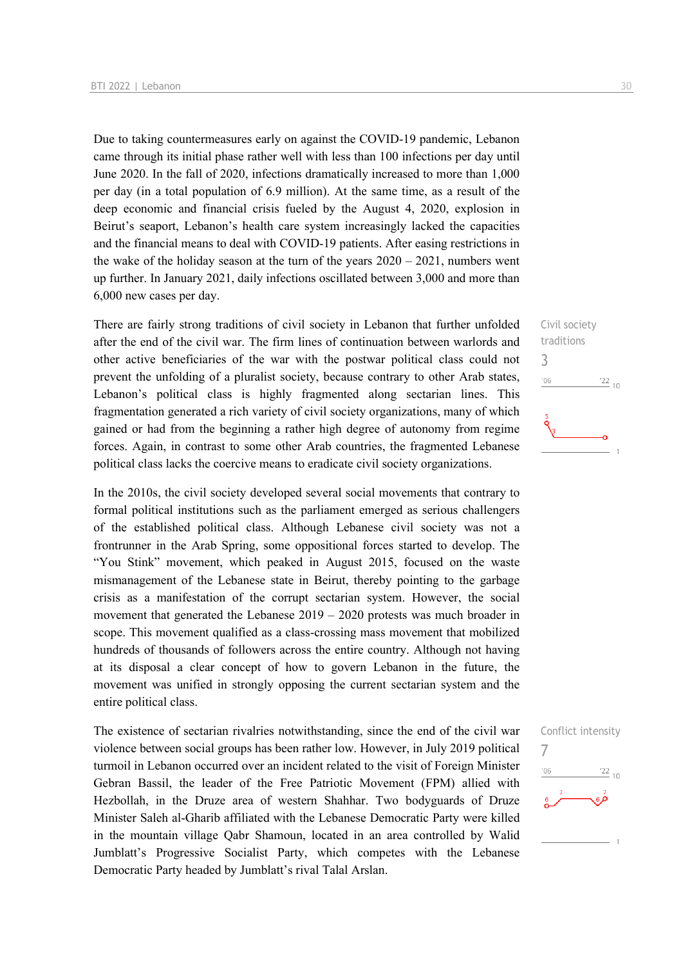Due to taking countermeasures early on against the COVID-19 pandemic, Lebanon came through its initial phase rather well with less than 100 infections per day until June 2020. In the fall of 2020, infections dramatically increased to more than 1,000 per day (in a total population of 6.9 million). At the same time, as a result of the deep economic and financial crisis fueled by the August 4, 2020, explosion in Beirut's seaport, Lebanon's health care system increasingly lacked the capacities and the financial means to deal with COVID-19 patients. After easing restrictions in the wake of the holiday season at the turn of the years  $2020 - 2021$ , numbers went up further. In January 2021, daily infections oscillated between 3,000 and more than 6,000 new cases per day.

There are fairly strong traditions of civil society in Lebanon that further unfolded after the end of the civil war. The firm lines of continuation between warlords and other active beneficiaries of the war with the postwar political class could not prevent the unfolding of a pluralist society, because contrary to other Arab states, Lebanon's political class is highly fragmented along sectarian lines. This fragmentation generated a rich variety of civil society organizations, many of which gained or had from the beginning a rather high degree of autonomy from regime forces. Again, in contrast to some other Arab countries, the fragmented Lebanese political class lacks the coercive means to eradicate civil society organizations.

In the 2010s, the civil society developed several social movements that contrary to formal political institutions such as the parliament emerged as serious challengers of the established political class. Although Lebanese civil society was not a frontrunner in the Arab Spring, some oppositional forces started to develop. The "You Stink" movement, which peaked in August 2015, focused on the waste mismanagement of the Lebanese state in Beirut, thereby pointing to the garbage crisis as a manifestation of the corrupt sectarian system. However, the social movement that generated the Lebanese  $2019 - 2020$  protests was much broader in scope. This movement qualified as a class-crossing mass movement that mobilized hundreds of thousands of followers across the entire country. Although not having at its disposal a clear concept of how to govern Lebanon in the future, the movement was unified in strongly opposing the current sectarian system and the entire political class.

The existence of sectarian rivalries notwithstanding, since the end of the civil war violence between social groups has been rather low. However, in July 2019 political turmoil in Lebanon occurred over an incident related to the visit of Foreign Minister Gebran Bassil, the leader of the Free Patriotic Movement (FPM) allied with Hezbollah, in the Druze area of western Shahhar. Two bodyguards of Druze Minister Saleh al-Gharib affiliated with the Lebanese Democratic Party were killed in the mountain village Qabr Shamoun, located in an area controlled by Walid Jumblatt's Progressive Socialist Party, which competes with the Lebanese Democratic Party headed by Jumblatt's rival Talal Arslan.

Civil society traditions 3  $^{\prime}06$  $\frac{22}{10}$ 

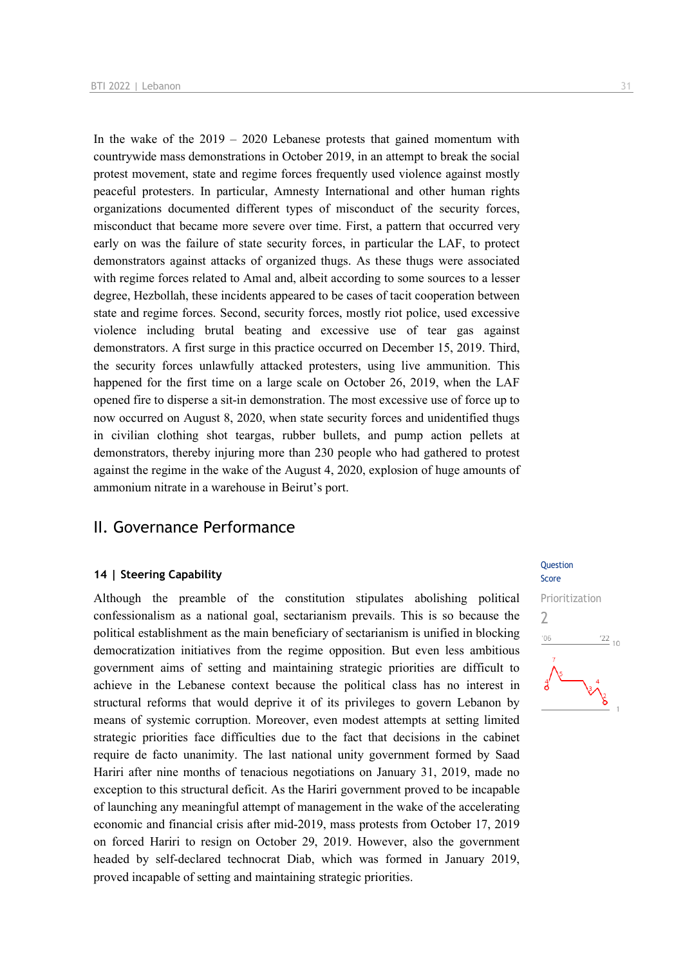In the wake of the  $2019 - 2020$  Lebanese protests that gained momentum with countrywide mass demonstrations in October 2019, in an attempt to break the social protest movement, state and regime forces frequently used violence against mostly peaceful protesters. In particular, Amnesty International and other human rights organizations documented different types of misconduct of the security forces, misconduct that became more severe over time. First, a pattern that occurred very early on was the failure of state security forces, in particular the LAF, to protect demonstrators against attacks of organized thugs. As these thugs were associated with regime forces related to Amal and, albeit according to some sources to a lesser degree, Hezbollah, these incidents appeared to be cases of tacit cooperation between state and regime forces. Second, security forces, mostly riot police, used excessive violence including brutal beating and excessive use of tear gas against demonstrators. A first surge in this practice occurred on December 15, 2019. Third, the security forces unlawfully attacked protesters, using live ammunition. This happened for the first time on a large scale on October 26, 2019, when the LAF opened fire to disperse a sit-in demonstration. The most excessive use of force up to now occurred on August 8, 2020, when state security forces and unidentified thugs

in civilian clothing shot teargas, rubber bullets, and pump action pellets at demonstrators, thereby injuring more than 230 people who had gathered to protest against the regime in the wake of the August 4, 2020, explosion of huge amounts of ammonium nitrate in a warehouse in Beirut's port.

## II. Governance Performance

## **14 | Steering Capability**

Although the preamble of the constitution stipulates abolishing political confessionalism as a national goal, sectarianism prevails. This is so because the political establishment as the main beneficiary of sectarianism is unified in blocking democratization initiatives from the regime opposition. But even less ambitious government aims of setting and maintaining strategic priorities are difficult to achieve in the Lebanese context because the political class has no interest in structural reforms that would deprive it of its privileges to govern Lebanon by means of systemic corruption. Moreover, even modest attempts at setting limited strategic priorities face difficulties due to the fact that decisions in the cabinet require de facto unanimity. The last national unity government formed by Saad Hariri after nine months of tenacious negotiations on January 31, 2019, made no exception to this structural deficit. As the Hariri government proved to be incapable of launching any meaningful attempt of management in the wake of the accelerating economic and financial crisis after mid-2019, mass protests from October 17, 2019 on forced Hariri to resign on October 29, 2019. However, also the government headed by self-declared technocrat Diab, which was formed in January 2019, proved incapable of setting and maintaining strategic priorities.

## **Question**

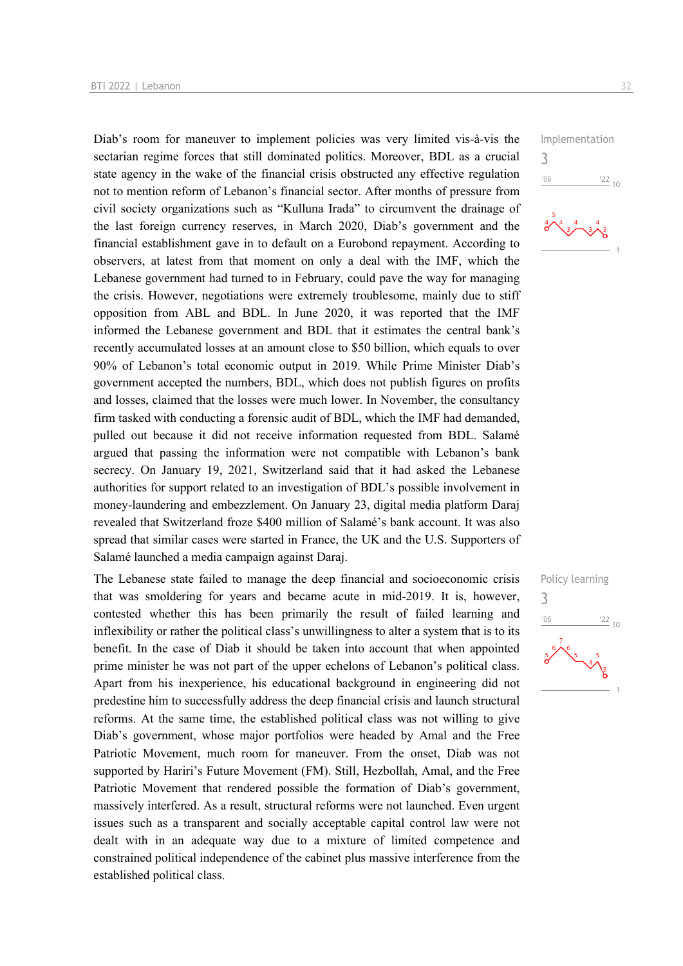Diab's room for maneuver to implement policies was very limited vis-à-vis the sectarian regime forces that still dominated politics. Moreover, BDL as a crucial state agency in the wake of the financial crisis obstructed any effective regulation not to mention reform of Lebanon's financial sector. After months of pressure from civil society organizations such as "Kulluna Irada" to circumvent the drainage of the last foreign currency reserves, in March 2020, Diab's government and the financial establishment gave in to default on a Eurobond repayment. According to observers, at latest from that moment on only a deal with the IMF, which the Lebanese government had turned to in February, could pave the way for managing the crisis. However, negotiations were extremely troublesome, mainly due to stiff opposition from ABL and BDL. In June 2020, it was reported that the IMF informed the Lebanese government and BDL that it estimates the central bank's recently accumulated losses at an amount close to \$50 billion, which equals to over 90% of Lebanon's total economic output in 2019. While Prime Minister Diab's government accepted the numbers, BDL, which does not publish figures on profits and losses, claimed that the losses were much lower. In November, the consultancy firm tasked with conducting a forensic audit of BDL, which the IMF had demanded, pulled out because it did not receive information requested from BDL. Salamé argued that passing the information were not compatible with Lebanon's bank secrecy. On January 19, 2021, Switzerland said that it had asked the Lebanese authorities for support related to an investigation of BDL's possible involvement in money-laundering and embezzlement. On January 23, digital media platform Daraj revealed that Switzerland froze \$400 million of Salamé's bank account. It was also spread that similar cases were started in France, the UK and the U.S. Supporters of Salamé launched a media campaign against Daraj.

The Lebanese state failed to manage the deep financial and socioeconomic crisis that was smoldering for years and became acute in mid-2019. It is, however, contested whether this has been primarily the result of failed learning and inflexibility or rather the political class's unwillingness to alter a system that is to its benefit. In the case of Diab it should be taken into account that when appointed prime minister he was not part of the upper echelons of Lebanon's political class. Apart from his inexperience, his educational background in engineering did not predestine him to successfully address the deep financial crisis and launch structural reforms. At the same time, the established political class was not willing to give Diab's government, whose major portfolios were headed by Amal and the Free Patriotic Movement, much room for maneuver. From the onset, Diab was not supported by Hariri's Future Movement (FM). Still, Hezbollah, Amal, and the Free Patriotic Movement that rendered possible the formation of Diab's government, massively interfered. As a result, structural reforms were not launched. Even urgent issues such as a transparent and socially acceptable capital control law were not dealt with in an adequate way due to a mixture of limited competence and constrained political independence of the cabinet plus massive interference from the established political class.



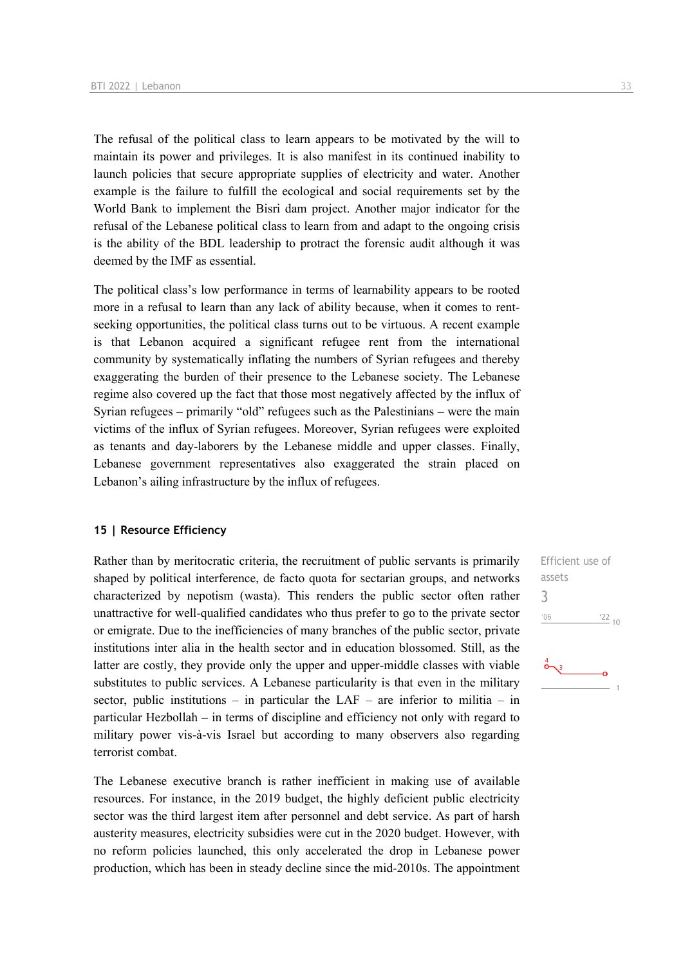The refusal of the political class to learn appears to be motivated by the will to maintain its power and privileges. It is also manifest in its continued inability to launch policies that secure appropriate supplies of electricity and water. Another example is the failure to fulfill the ecological and social requirements set by the World Bank to implement the Bisri dam project. Another major indicator for the refusal of the Lebanese political class to learn from and adapt to the ongoing crisis is the ability of the BDL leadership to protract the forensic audit although it was deemed by the IMF as essential.

The political class's low performance in terms of learnability appears to be rooted more in a refusal to learn than any lack of ability because, when it comes to rentseeking opportunities, the political class turns out to be virtuous. A recent example is that Lebanon acquired a significant refugee rent from the international community by systematically inflating the numbers of Syrian refugees and thereby exaggerating the burden of their presence to the Lebanese society. The Lebanese regime also covered up the fact that those most negatively affected by the influx of Syrian refugees – primarily "old" refugees such as the Palestinians – were the main victims of the influx of Syrian refugees. Moreover, Syrian refugees were exploited as tenants and day-laborers by the Lebanese middle and upper classes. Finally, Lebanese government representatives also exaggerated the strain placed on Lebanon's ailing infrastructure by the influx of refugees.

## **15 | Resource Efficiency**

Rather than by meritocratic criteria, the recruitment of public servants is primarily shaped by political interference, de facto quota for sectarian groups, and networks characterized by nepotism (wasta). This renders the public sector often rather unattractive for well-qualified candidates who thus prefer to go to the private sector or emigrate. Due to the inefficiencies of many branches of the public sector, private institutions inter alia in the health sector and in education blossomed. Still, as the latter are costly, they provide only the upper and upper-middle classes with viable substitutes to public services. A Lebanese particularity is that even in the military sector, public institutions – in particular the LAF – are inferior to militia – in particular Hezbollah – in terms of discipline and efficiency not only with regard to military power vis-à-vis Israel but according to many observers also regarding terrorist combat.

The Lebanese executive branch is rather inefficient in making use of available resources. For instance, in the 2019 budget, the highly deficient public electricity sector was the third largest item after personnel and debt service. As part of harsh austerity measures, electricity subsidies were cut in the 2020 budget. However, with no reform policies launched, this only accelerated the drop in Lebanese power production, which has been in steady decline since the mid-2010s. The appointment Efficient use of assets 3 $-06$  $\frac{22}{10}$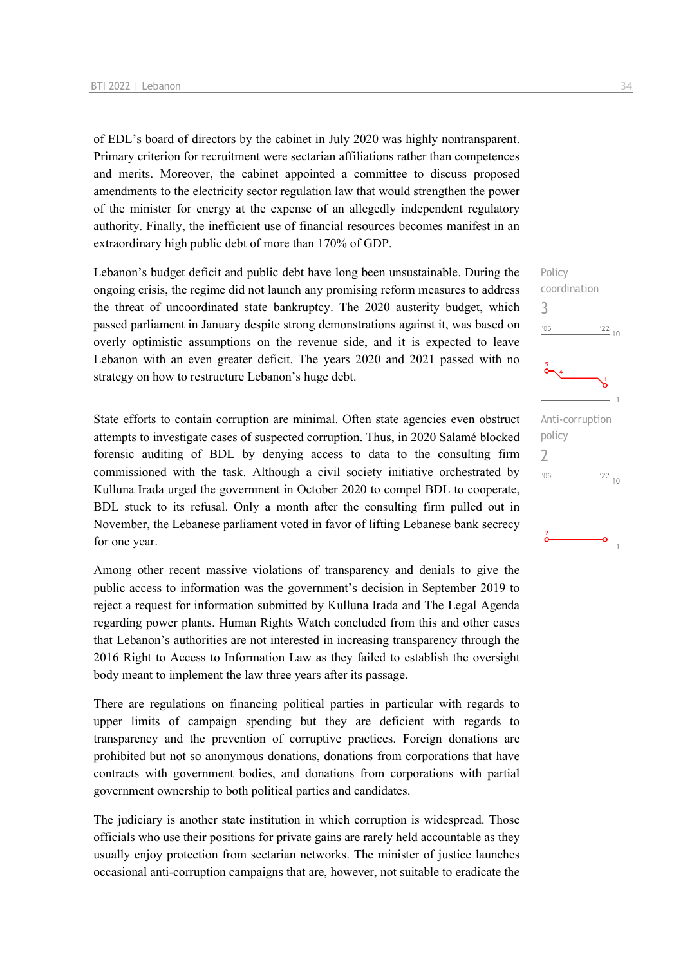of EDL's board of directors by the cabinet in July 2020 was highly nontransparent. Primary criterion for recruitment were sectarian affiliations rather than competences and merits. Moreover, the cabinet appointed a committee to discuss proposed amendments to the electricity sector regulation law that would strengthen the power of the minister for energy at the expense of an allegedly independent regulatory authority. Finally, the inefficient use of financial resources becomes manifest in an extraordinary high public debt of more than 170% of GDP.

Lebanon's budget deficit and public debt have long been unsustainable. During the ongoing crisis, the regime did not launch any promising reform measures to address the threat of uncoordinated state bankruptcy. The 2020 austerity budget, which passed parliament in January despite strong demonstrations against it, was based on overly optimistic assumptions on the revenue side, and it is expected to leave Lebanon with an even greater deficit. The years 2020 and 2021 passed with no strategy on how to restructure Lebanon's huge debt.

State efforts to contain corruption are minimal. Often state agencies even obstruct attempts to investigate cases of suspected corruption. Thus, in 2020 Salamé blocked forensic auditing of BDL by denying access to data to the consulting firm commissioned with the task. Although a civil society initiative orchestrated by Kulluna Irada urged the government in October 2020 to compel BDL to cooperate, BDL stuck to its refusal. Only a month after the consulting firm pulled out in November, the Lebanese parliament voted in favor of lifting Lebanese bank secrecy for one year.

Among other recent massive violations of transparency and denials to give the public access to information was the government's decision in September 2019 to reject a request for information submitted by Kulluna Irada and The Legal Agenda regarding power plants. Human Rights Watch concluded from this and other cases that Lebanon's authorities are not interested in increasing transparency through the 2016 Right to Access to Information Law as they failed to establish the oversight body meant to implement the law three years after its passage.

There are regulations on financing political parties in particular with regards to upper limits of campaign spending but they are deficient with regards to transparency and the prevention of corruptive practices. Foreign donations are prohibited but not so anonymous donations, donations from corporations that have contracts with government bodies, and donations from corporations with partial government ownership to both political parties and candidates.

The judiciary is another state institution in which corruption is widespread. Those officials who use their positions for private gains are rarely held accountable as they usually enjoy protection from sectarian networks. The minister of justice launches occasional anti-corruption campaigns that are, however, not suitable to eradicate the Policy coordination

Anti-corruption

 $\frac{22}{10}$ 

 $\frac{22}{10}$ 

 $\overline{a}$ 

policy 2

 $-06$ 

3

 $106$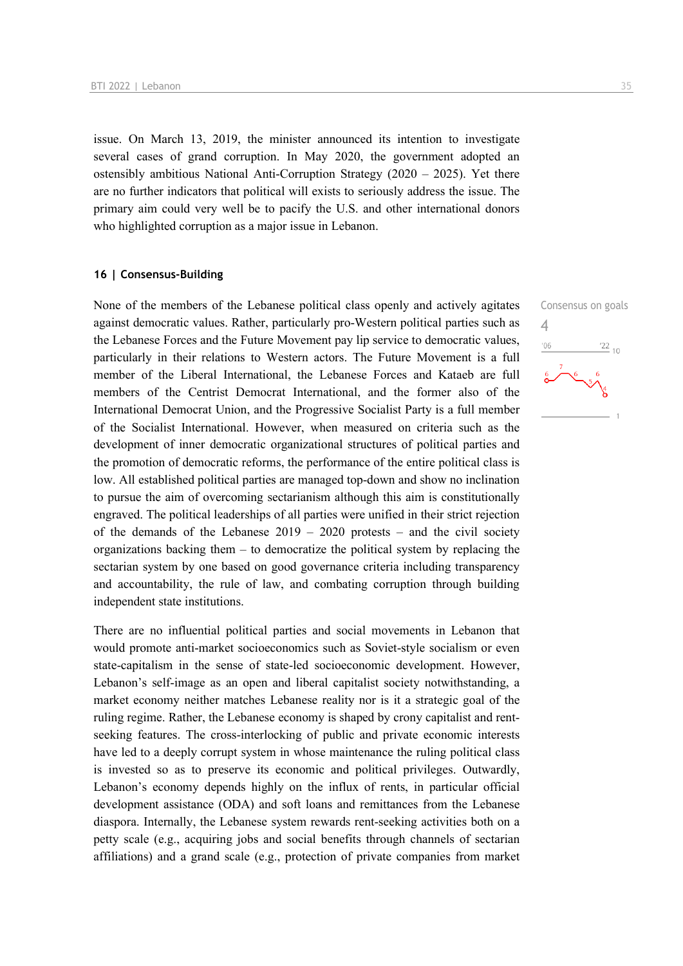issue. On March 13, 2019, the minister announced its intention to investigate several cases of grand corruption. In May 2020, the government adopted an ostensibly ambitious National Anti-Corruption Strategy  $(2020 - 2025)$ . Yet there are no further indicators that political will exists to seriously address the issue. The primary aim could very well be to pacify the U.S. and other international donors who highlighted corruption as a major issue in Lebanon.

## **16 | Consensus-Building**

None of the members of the Lebanese political class openly and actively agitates against democratic values. Rather, particularly pro-Western political parties such as the Lebanese Forces and the Future Movement pay lip service to democratic values, particularly in their relations to Western actors. The Future Movement is a full member of the Liberal International, the Lebanese Forces and Kataeb are full members of the Centrist Democrat International, and the former also of the International Democrat Union, and the Progressive Socialist Party is a full member of the Socialist International. However, when measured on criteria such as the development of inner democratic organizational structures of political parties and the promotion of democratic reforms, the performance of the entire political class is low. All established political parties are managed top-down and show no inclination to pursue the aim of overcoming sectarianism although this aim is constitutionally engraved. The political leaderships of all parties were unified in their strict rejection of the demands of the Lebanese  $2019 - 2020$  protests – and the civil society organizations backing them – to democratize the political system by replacing the sectarian system by one based on good governance criteria including transparency and accountability, the rule of law, and combating corruption through building independent state institutions.

There are no influential political parties and social movements in Lebanon that would promote anti-market socioeconomics such as Soviet-style socialism or even state-capitalism in the sense of state-led socioeconomic development. However, Lebanon's self-image as an open and liberal capitalist society notwithstanding, a market economy neither matches Lebanese reality nor is it a strategic goal of the ruling regime. Rather, the Lebanese economy is shaped by crony capitalist and rentseeking features. The cross-interlocking of public and private economic interests have led to a deeply corrupt system in whose maintenance the ruling political class is invested so as to preserve its economic and political privileges. Outwardly, Lebanon's economy depends highly on the influx of rents, in particular official development assistance (ODA) and soft loans and remittances from the Lebanese diaspora. Internally, the Lebanese system rewards rent-seeking activities both on a petty scale (e.g., acquiring jobs and social benefits through channels of sectarian affiliations) and a grand scale (e.g., protection of private companies from market Consensus on goals  $\frac{22}{10}$ 

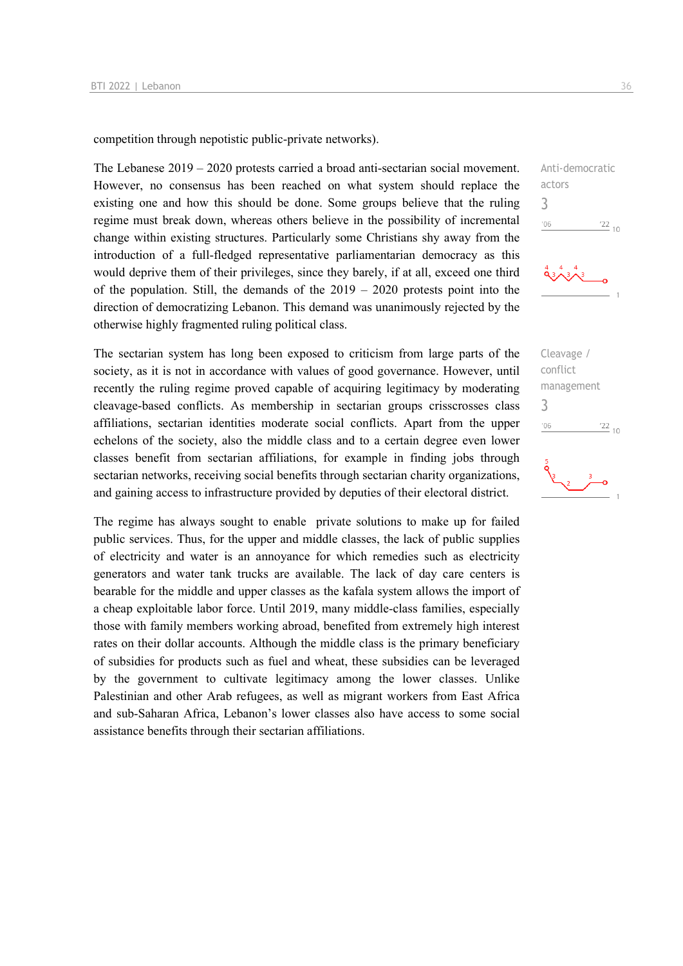competition through nepotistic public-private networks).

The Lebanese 2019 – 2020 protests carried a broad anti-sectarian social movement. However, no consensus has been reached on what system should replace the existing one and how this should be done. Some groups believe that the ruling regime must break down, whereas others believe in the possibility of incremental change within existing structures. Particularly some Christians shy away from the introduction of a full-fledged representative parliamentarian democracy as this would deprive them of their privileges, since they barely, if at all, exceed one third of the population. Still, the demands of the  $2019 - 2020$  protests point into the direction of democratizing Lebanon. This demand was unanimously rejected by the otherwise highly fragmented ruling political class.

The sectarian system has long been exposed to criticism from large parts of the society, as it is not in accordance with values of good governance. However, until recently the ruling regime proved capable of acquiring legitimacy by moderating cleavage-based conflicts. As membership in sectarian groups crisscrosses class affiliations, sectarian identities moderate social conflicts. Apart from the upper echelons of the society, also the middle class and to a certain degree even lower classes benefit from sectarian affiliations, for example in finding jobs through sectarian networks, receiving social benefits through sectarian charity organizations, and gaining access to infrastructure provided by deputies of their electoral district.

The regime has always sought to enable private solutions to make up for failed public services. Thus, for the upper and middle classes, the lack of public supplies of electricity and water is an annoyance for which remedies such as electricity generators and water tank trucks are available. The lack of day care centers is bearable for the middle and upper classes as the kafala system allows the import of a cheap exploitable labor force. Until 2019, many middle-class families, especially those with family members working abroad, benefited from extremely high interest rates on their dollar accounts. Although the middle class is the primary beneficiary of subsidies for products such as fuel and wheat, these subsidies can be leveraged by the government to cultivate legitimacy among the lower classes. Unlike Palestinian and other Arab refugees, as well as migrant workers from East Africa and sub-Saharan Africa, Lebanon's lower classes also have access to some social assistance benefits through their sectarian affiliations.



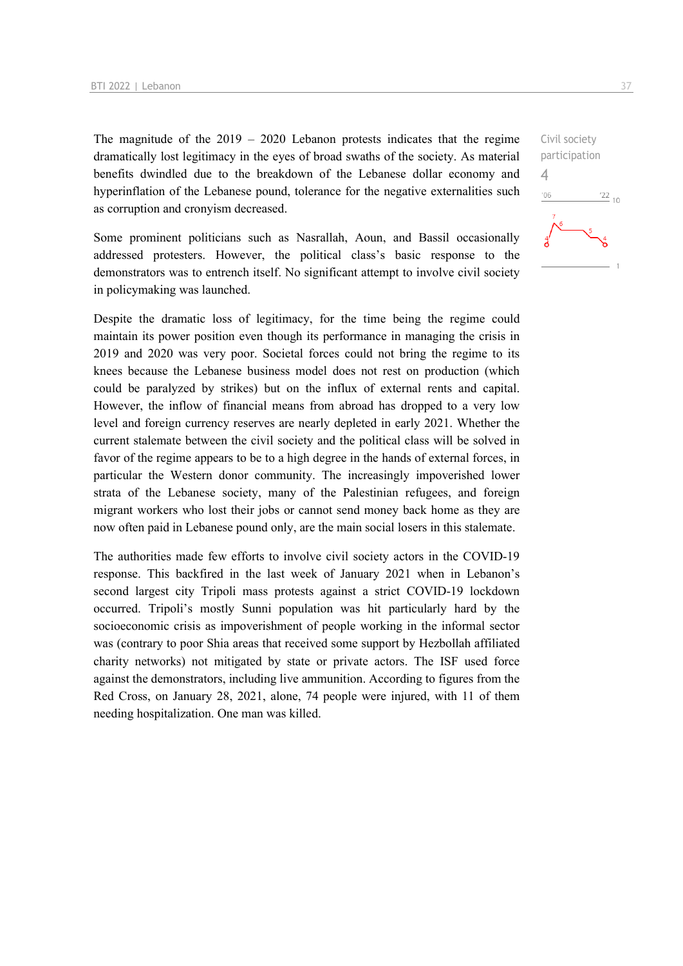The magnitude of the  $2019 - 2020$  Lebanon protests indicates that the regime dramatically lost legitimacy in the eyes of broad swaths of the society. As material benefits dwindled due to the breakdown of the Lebanese dollar economy and hyperinflation of the Lebanese pound, tolerance for the negative externalities such as corruption and cronyism decreased.

Some prominent politicians such as Nasrallah, Aoun, and Bassil occasionally addressed protesters. However, the political class's basic response to the demonstrators was to entrench itself. No significant attempt to involve civil society in policymaking was launched.

Despite the dramatic loss of legitimacy, for the time being the regime could maintain its power position even though its performance in managing the crisis in 2019 and 2020 was very poor. Societal forces could not bring the regime to its knees because the Lebanese business model does not rest on production (which could be paralyzed by strikes) but on the influx of external rents and capital. However, the inflow of financial means from abroad has dropped to a very low level and foreign currency reserves are nearly depleted in early 2021. Whether the current stalemate between the civil society and the political class will be solved in favor of the regime appears to be to a high degree in the hands of external forces, in particular the Western donor community. The increasingly impoverished lower strata of the Lebanese society, many of the Palestinian refugees, and foreign migrant workers who lost their jobs or cannot send money back home as they are now often paid in Lebanese pound only, are the main social losers in this stalemate.

The authorities made few efforts to involve civil society actors in the COVID-19 response. This backfired in the last week of January 2021 when in Lebanon's second largest city Tripoli mass protests against a strict COVID-19 lockdown occurred. Tripoli's mostly Sunni population was hit particularly hard by the socioeconomic crisis as impoverishment of people working in the informal sector was (contrary to poor Shia areas that received some support by Hezbollah affiliated charity networks) not mitigated by state or private actors. The ISF used force against the demonstrators, including live ammunition. According to figures from the Red Cross, on January 28, 2021, alone, 74 people were injured, with 11 of them needing hospitalization. One man was killed.

Civil society participation 4 $-06$  $\frac{22}{10}$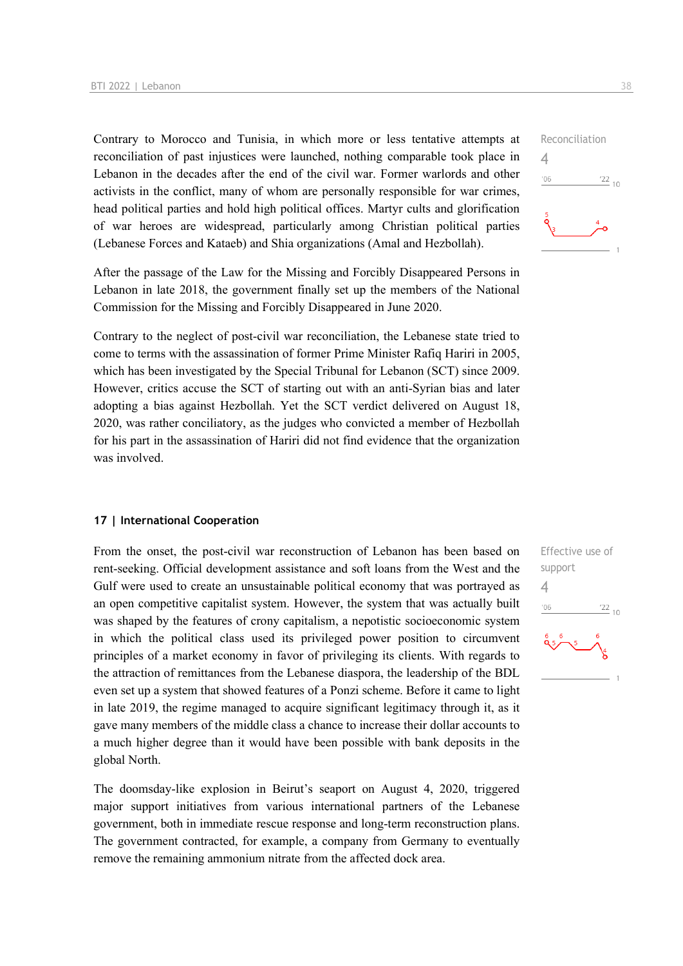Contrary to Morocco and Tunisia, in which more or less tentative attempts at reconciliation of past injustices were launched, nothing comparable took place in Lebanon in the decades after the end of the civil war. Former warlords and other activists in the conflict, many of whom are personally responsible for war crimes, head political parties and hold high political offices. Martyr cults and glorification of war heroes are widespread, particularly among Christian political parties (Lebanese Forces and Kataeb) and Shia organizations (Amal and Hezbollah).

After the passage of the Law for the Missing and Forcibly Disappeared Persons in Lebanon in late 2018, the government finally set up the members of the National Commission for the Missing and Forcibly Disappeared in June 2020.

Contrary to the neglect of post-civil war reconciliation, the Lebanese state tried to come to terms with the assassination of former Prime Minister Rafiq Hariri in 2005, which has been investigated by the Special Tribunal for Lebanon (SCT) since 2009. However, critics accuse the SCT of starting out with an anti-Syrian bias and later adopting a bias against Hezbollah. Yet the SCT verdict delivered on August 18, 2020, was rather conciliatory, as the judges who convicted a member of Hezbollah for his part in the assassination of Hariri did not find evidence that the organization was involved.

#### **17 | International Cooperation**

From the onset, the post-civil war reconstruction of Lebanon has been based on rent-seeking. Official development assistance and soft loans from the West and the Gulf were used to create an unsustainable political economy that was portrayed as an open competitive capitalist system. However, the system that was actually built was shaped by the features of crony capitalism, a nepotistic socioeconomic system in which the political class used its privileged power position to circumvent principles of a market economy in favor of privileging its clients. With regards to the attraction of remittances from the Lebanese diaspora, the leadership of the BDL even set up a system that showed features of a Ponzi scheme. Before it came to light in late 2019, the regime managed to acquire significant legitimacy through it, as it gave many members of the middle class a chance to increase their dollar accounts to a much higher degree than it would have been possible with bank deposits in the global North.

The doomsday-like explosion in Beirut's seaport on August 4, 2020, triggered major support initiatives from various international partners of the Lebanese government, both in immediate rescue response and long-term reconstruction plans. The government contracted, for example, a company from Germany to eventually remove the remaining ammonium nitrate from the affected dock area.



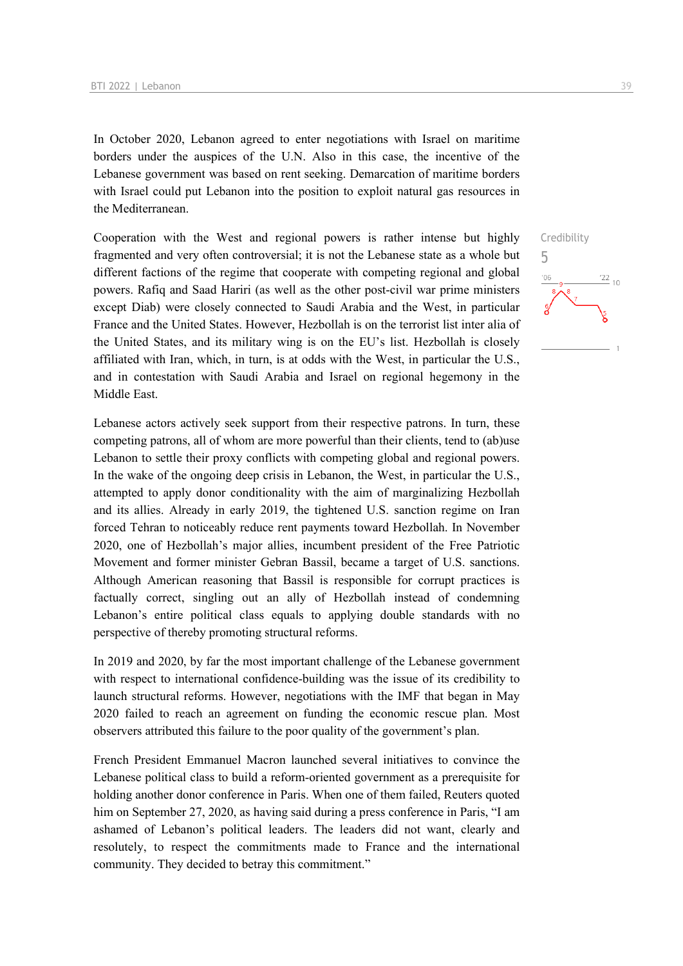In October 2020, Lebanon agreed to enter negotiations with Israel on maritime borders under the auspices of the U.N. Also in this case, the incentive of the Lebanese government was based on rent seeking. Demarcation of maritime borders with Israel could put Lebanon into the position to exploit natural gas resources in the Mediterranean.

Cooperation with the West and regional powers is rather intense but highly fragmented and very often controversial; it is not the Lebanese state as a whole but different factions of the regime that cooperate with competing regional and global powers. Rafiq and Saad Hariri (as well as the other post-civil war prime ministers except Diab) were closely connected to Saudi Arabia and the West, in particular France and the United States. However, Hezbollah is on the terrorist list inter alia of the United States, and its military wing is on the EU's list. Hezbollah is closely affiliated with Iran, which, in turn, is at odds with the West, in particular the U.S., and in contestation with Saudi Arabia and Israel on regional hegemony in the Middle East.

Lebanese actors actively seek support from their respective patrons. In turn, these competing patrons, all of whom are more powerful than their clients, tend to (ab)use Lebanon to settle their proxy conflicts with competing global and regional powers. In the wake of the ongoing deep crisis in Lebanon, the West, in particular the U.S., attempted to apply donor conditionality with the aim of marginalizing Hezbollah and its allies. Already in early 2019, the tightened U.S. sanction regime on Iran forced Tehran to noticeably reduce rent payments toward Hezbollah. In November 2020, one of Hezbollah's major allies, incumbent president of the Free Patriotic Movement and former minister Gebran Bassil, became a target of U.S. sanctions. Although American reasoning that Bassil is responsible for corrupt practices is factually correct, singling out an ally of Hezbollah instead of condemning Lebanon's entire political class equals to applying double standards with no perspective of thereby promoting structural reforms.

In 2019 and 2020, by far the most important challenge of the Lebanese government with respect to international confidence-building was the issue of its credibility to launch structural reforms. However, negotiations with the IMF that began in May 2020 failed to reach an agreement on funding the economic rescue plan. Most observers attributed this failure to the poor quality of the government's plan.

French President Emmanuel Macron launched several initiatives to convince the Lebanese political class to build a reform-oriented government as a prerequisite for holding another donor conference in Paris. When one of them failed, Reuters quoted him on September 27, 2020, as having said during a press conference in Paris, "I am ashamed of Lebanon's political leaders. The leaders did not want, clearly and resolutely, to respect the commitments made to France and the international community. They decided to betray this commitment."

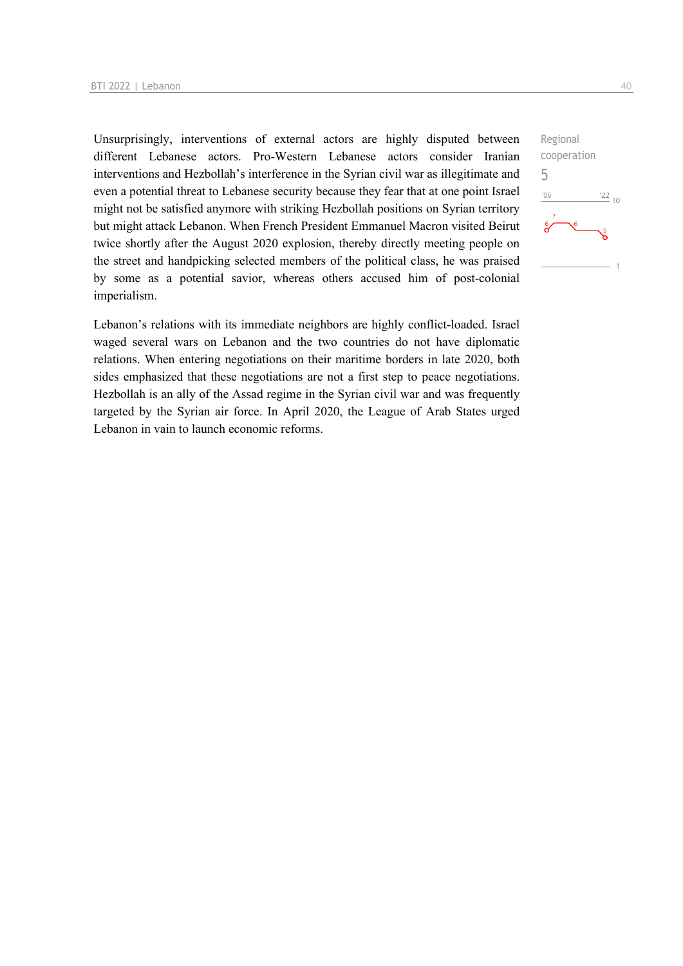Unsurprisingly, interventions of external actors are highly disputed between different Lebanese actors. Pro-Western Lebanese actors consider Iranian interventions and Hezbollah's interference in the Syrian civil war as illegitimate and even a potential threat to Lebanese security because they fear that at one point Israel might not be satisfied anymore with striking Hezbollah positions on Syrian territory but might attack Lebanon. When French President Emmanuel Macron visited Beirut twice shortly after the August 2020 explosion, thereby directly meeting people on the street and handpicking selected members of the political class, he was praised by some as a potential savior, whereas others accused him of post-colonial imperialism.

Lebanon's relations with its immediate neighbors are highly conflict-loaded. Israel waged several wars on Lebanon and the two countries do not have diplomatic relations. When entering negotiations on their maritime borders in late 2020, both sides emphasized that these negotiations are not a first step to peace negotiations. Hezbollah is an ally of the Assad regime in the Syrian civil war and was frequently targeted by the Syrian air force. In April 2020, the League of Arab States urged Lebanon in vain to launch economic reforms.